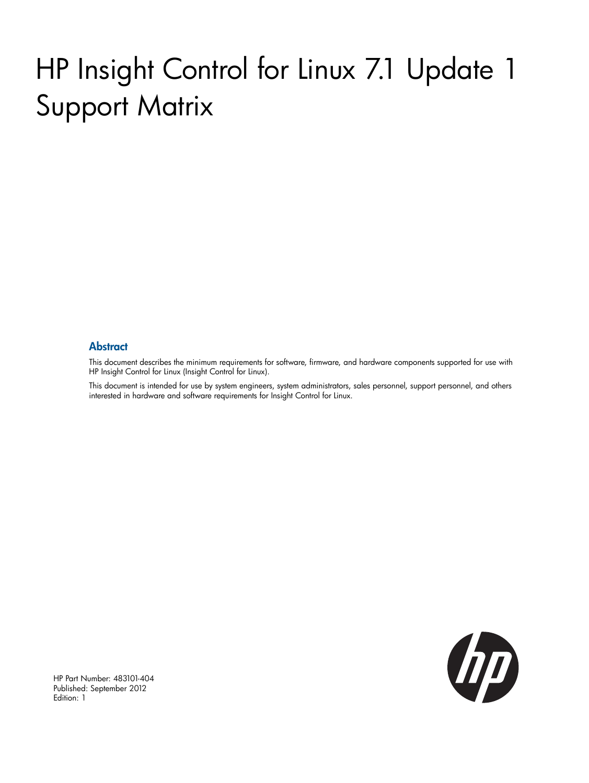# HP Insight Control for Linux 7.1 Update 1 Support Matrix

#### **Abstract**

This document describes the minimum requirements for software, firmware, and hardware components supported for use with HP Insight Control for Linux (Insight Control for Linux).

This document is intended for use by system engineers, system administrators, sales personnel, support personnel, and others interested in hardware and software requirements for Insight Control for Linux.

UD

HP Part Number: 483101-404 Published: September 2012 Edition: 1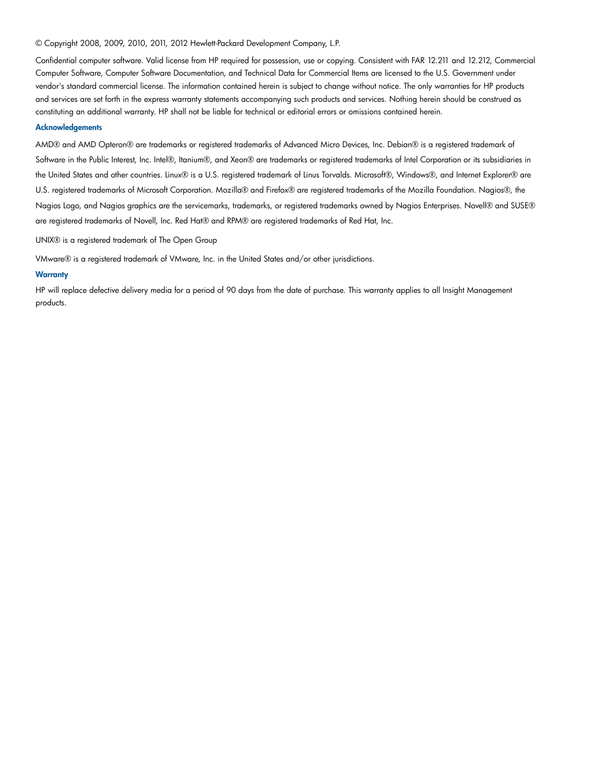#### © Copyright 2008, 2009, 2010, 2011, 2012 Hewlett-Packard Development Company, L.P.

Confidential computer software. Valid license from HP required for possession, use or copying. Consistent with FAR 12.211 and 12.212, Commercial Computer Software, Computer Software Documentation, and Technical Data for Commercial Items are licensed to the U.S. Government under vendor's standard commercial license. The information contained herein is subject to change without notice. The only warranties for HP products and services are set forth in the express warranty statements accompanying such products and services. Nothing herein should be construed as constituting an additional warranty. HP shall not be liable for technical or editorial errors or omissions contained herein.

#### **Acknowledgements**

AMD® and AMD Opteron® are trademarks or registered trademarks of Advanced Micro Devices, Inc. Debian® is a registered trademark of Software in the Public Interest, Inc. Intel®, Itanium®, and Xeon® are trademarks or registered trademarks of Intel Corporation or its subsidiaries in the United States and other countries. Linux® is a U.S. registered trademark of Linus Torvalds. Microsoft®, Windows®, and Internet Explorer® are U.S. registered trademarks of Microsoft Corporation. Mozilla® and Firefox® are registered trademarks of the Mozilla Foundation. Nagios®, the Nagios Logo, and Nagios graphics are the servicemarks, trademarks, or registered trademarks owned by Nagios Enterprises. Novell® and SUSE® are registered trademarks of Novell, Inc. Red Hat® and RPM® are registered trademarks of Red Hat, Inc.

UNIX® is a registered trademark of The Open Group

VMware® is a registered trademark of VMware, Inc. in the United States and/or other jurisdictions.

#### **Warranty**

HP will replace defective delivery media for a period of 90 days from the date of purchase. This warranty applies to all Insight Management products.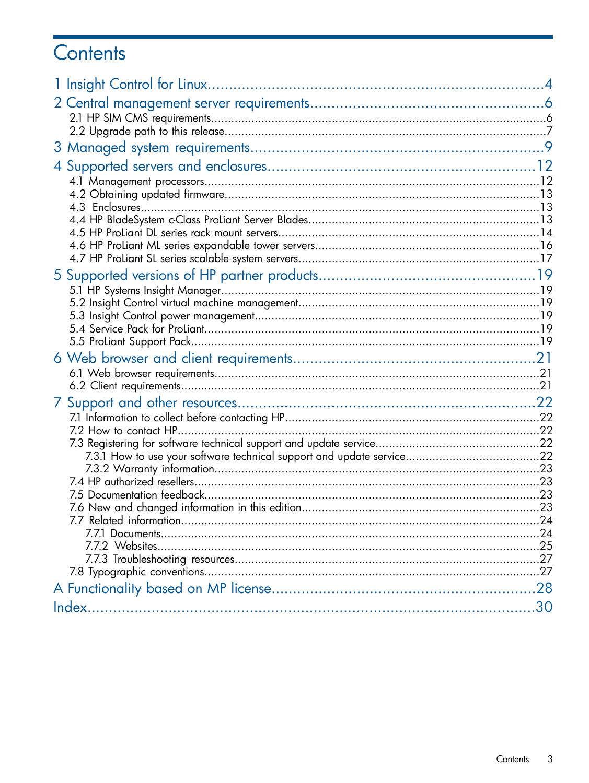# Contents

|  | 30 |
|--|----|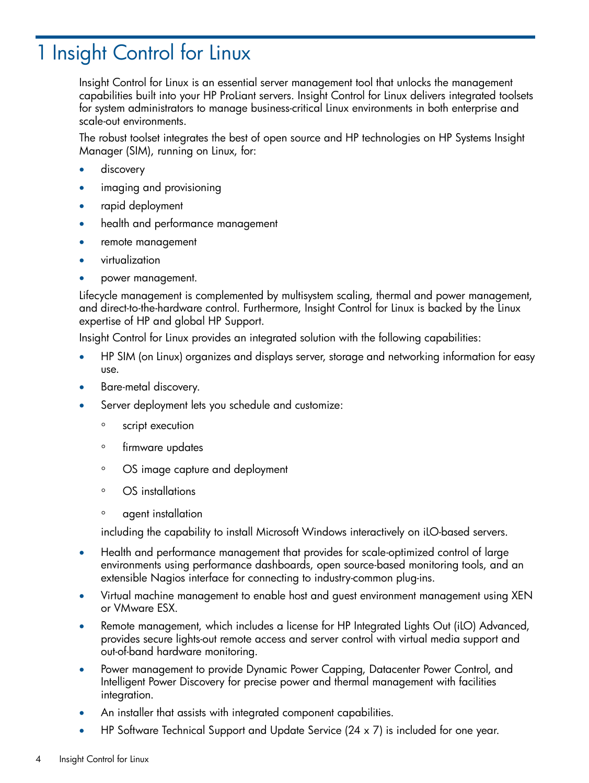# <span id="page-3-0"></span>1 Insight Control for Linux

Insight Control for Linux is an essential server management tool that unlocks the management capabilities built into your HP ProLiant servers. Insight Control for Linux delivers integrated toolsets for system administrators to manage business-critical Linux environments in both enterprise and scale-out environments.

The robust toolset integrates the best of open source and HP technologies on HP Systems Insight Manager (SIM), running on Linux, for:

- discovery
- imaging and provisioning
- rapid deployment
- health and performance management
- remote management
- virtualization
- power management.

<span id="page-3-3"></span>Lifecycle management is complemented by multisystem scaling, thermal and power management, and direct-to-the-hardware control. Furthermore, Insight Control for Linux is backed by the Linux expertise of HP and global HP Support.

Insight Control for Linux provides an integrated solution with the following capabilities:

- HP SIM (on Linux) organizes and displays server, storage and networking information for easy use.
- Bare-metal discovery.
- Server deployment lets you schedule and customize:
	- script execution
	- firmware updates
	- OS image capture and deployment
	- OS installations
	- agent installation

<span id="page-3-1"></span>including the capability to install Microsoft Windows interactively on iLO-based servers.

- <span id="page-3-4"></span><span id="page-3-2"></span>• Health and performance management that provides for scale-optimized control of large environments using performance dashboards, open source-based monitoring tools, and an extensible Nagios interface for connecting to industry-common plug-ins.
- Virtual machine management to enable host and guest environment management using XEN or VMware ESX.
- <span id="page-3-5"></span>• Remote management, which includes a license for HP Integrated Lights Out (iLO) Advanced, provides secure lights-out remote access and server control with virtual media support and out-of-band hardware monitoring.
- Power management to provide Dynamic Power Capping, Datacenter Power Control, and Intelligent Power Discovery for precise power and thermal management with facilities integration.
- An installer that assists with integrated component capabilities.
- HP Software Technical Support and Update Service (24 x 7) is included for one year.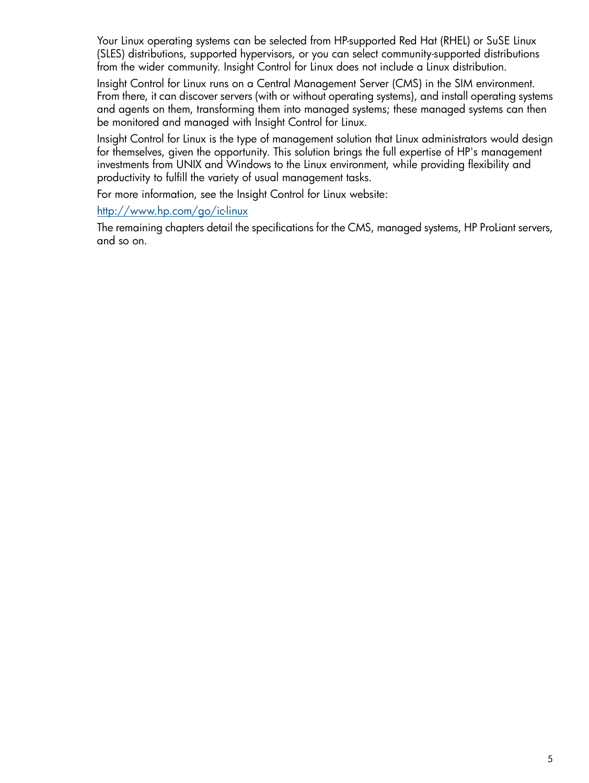<span id="page-4-0"></span>Your Linux operating systems can be selected from HP-supported Red Hat (RHEL) or SuSE Linux (SLES) distributions, supported hypervisors, or you can select community-supported distributions from the wider community. Insight Control for Linux does not include a Linux distribution.

Insight Control for Linux runs on a Central Management Server (CMS) in the SIM environment. From there, it can discover servers (with or without operating systems), and install operating systems and agents on them, transforming them into managed systems; these managed systems can then be monitored and managed with Insight Control for Linux.

Insight Control for Linux is the type of management solution that Linux administrators would design for themselves, given the opportunity. This solution brings the full expertise of HP's management investments from UNIX and Windows to the Linux environment, while providing flexibility and productivity to fulfill the variety of usual management tasks.

For more information, see the Insight Control for Linux website:

### <http://www.hp.com/go/ic-linux>

The remaining chapters detail the specifications for the CMS, managed systems, HP ProLiant servers, and so on.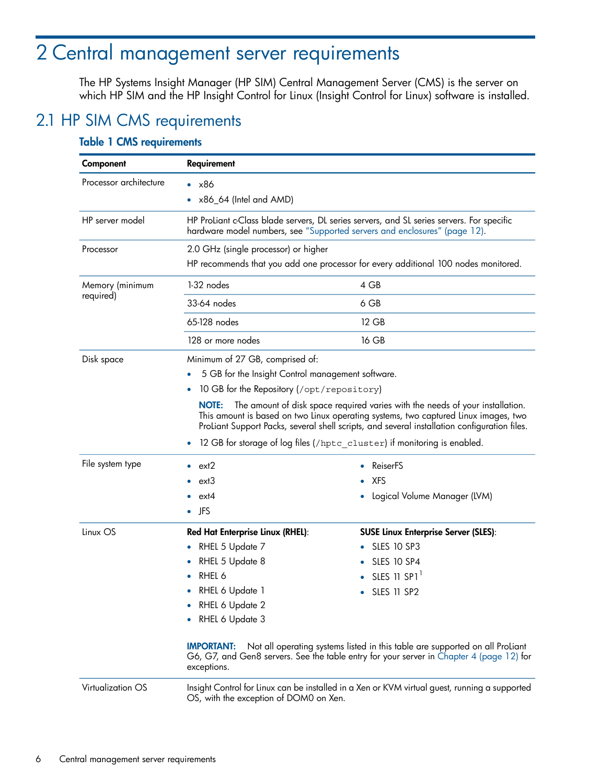# <span id="page-5-0"></span>2 Central management server requirements

<span id="page-5-2"></span><span id="page-5-1"></span>The HP Systems Insight Manager (HP SIM) Central Management Server (CMS) is the server on which HP SIM and the HP Insight Control for Linux (Insight Control for Linux) software is installed.

## 2.1 HP SIM CMS requirements

<span id="page-5-18"></span><span id="page-5-17"></span><span id="page-5-16"></span><span id="page-5-15"></span><span id="page-5-14"></span><span id="page-5-13"></span><span id="page-5-12"></span><span id="page-5-11"></span><span id="page-5-10"></span><span id="page-5-9"></span><span id="page-5-8"></span><span id="page-5-7"></span><span id="page-5-6"></span><span id="page-5-5"></span><span id="page-5-4"></span><span id="page-5-3"></span>

| Component              | Requirement                                                                                                                                                                                                                                                                          |                                                                                                                                                                          |  |  |  |  |
|------------------------|--------------------------------------------------------------------------------------------------------------------------------------------------------------------------------------------------------------------------------------------------------------------------------------|--------------------------------------------------------------------------------------------------------------------------------------------------------------------------|--|--|--|--|
| Processor architecture | $\bullet$ $\times$ 86                                                                                                                                                                                                                                                                |                                                                                                                                                                          |  |  |  |  |
|                        | $\bullet$ x86_64 (Intel and AMD)                                                                                                                                                                                                                                                     |                                                                                                                                                                          |  |  |  |  |
| HP server model        |                                                                                                                                                                                                                                                                                      | HP ProLiant c-Class blade servers, DL series servers, and SL series servers. For specific<br>hardware model numbers, see "Supported servers and enclosures" (page 12).   |  |  |  |  |
| Processor              | 2.0 GHz (single processor) or higher                                                                                                                                                                                                                                                 |                                                                                                                                                                          |  |  |  |  |
|                        |                                                                                                                                                                                                                                                                                      | HP recommends that you add one processor for every additional 100 nodes monitored.                                                                                       |  |  |  |  |
| Memory (minimum        | 1-32 nodes                                                                                                                                                                                                                                                                           | 4 GB                                                                                                                                                                     |  |  |  |  |
| required)              | 33-64 nodes                                                                                                                                                                                                                                                                          | 6 GB                                                                                                                                                                     |  |  |  |  |
|                        | 65-128 nodes                                                                                                                                                                                                                                                                         | 12 GB                                                                                                                                                                    |  |  |  |  |
|                        | 128 or more nodes                                                                                                                                                                                                                                                                    | 16 GB                                                                                                                                                                    |  |  |  |  |
| Disk space             | Minimum of 27 GB, comprised of:                                                                                                                                                                                                                                                      |                                                                                                                                                                          |  |  |  |  |
|                        | 5 GB for the Insight Control management software.                                                                                                                                                                                                                                    |                                                                                                                                                                          |  |  |  |  |
|                        | 10 GB for the Repository (/opt/repository)                                                                                                                                                                                                                                           |                                                                                                                                                                          |  |  |  |  |
|                        | The amount of disk space required varies with the needs of your installation.<br><b>NOTE:</b><br>This amount is based on two Linux operating systems, two captured Linux images, two<br>ProLiant Support Packs, several shell scripts, and several installation configuration files. |                                                                                                                                                                          |  |  |  |  |
|                        |                                                                                                                                                                                                                                                                                      | 12 GB for storage of log files (/hptc_cluster) if monitoring is enabled.                                                                                                 |  |  |  |  |
| File system type       | ext2                                                                                                                                                                                                                                                                                 | ReiserFS                                                                                                                                                                 |  |  |  |  |
|                        | ext3                                                                                                                                                                                                                                                                                 | <b>XFS</b>                                                                                                                                                               |  |  |  |  |
|                        | ext4                                                                                                                                                                                                                                                                                 | Logical Volume Manager (LVM)                                                                                                                                             |  |  |  |  |
|                        | $\bullet$ JFS                                                                                                                                                                                                                                                                        |                                                                                                                                                                          |  |  |  |  |
| Linux OS               | Red Hat Enterprise Linux (RHEL):                                                                                                                                                                                                                                                     | <b>SUSE Linux Enterprise Server (SLES):</b>                                                                                                                              |  |  |  |  |
|                        | RHEL 5 Update 7<br>$\bullet$                                                                                                                                                                                                                                                         | <b>SLES 10 SP3</b>                                                                                                                                                       |  |  |  |  |
|                        | RHEL 5 Update 8                                                                                                                                                                                                                                                                      | <b>SLES 10 SP4</b>                                                                                                                                                       |  |  |  |  |
|                        | RHEL 6                                                                                                                                                                                                                                                                               | $\bullet$ SLES 11 SP1 <sup>1</sup>                                                                                                                                       |  |  |  |  |
|                        | RHEL 6 Update 1                                                                                                                                                                                                                                                                      | SLES 11 SP2                                                                                                                                                              |  |  |  |  |
|                        | RHEL 6 Update 2                                                                                                                                                                                                                                                                      |                                                                                                                                                                          |  |  |  |  |
|                        | RHEL 6 Update 3                                                                                                                                                                                                                                                                      |                                                                                                                                                                          |  |  |  |  |
|                        | <b>IMPORTANT:</b><br>exceptions.                                                                                                                                                                                                                                                     | Not all operating systems listed in this table are supported on all ProLiant<br>G6, G7, and Gen8 servers. See the table entry for your server in Chapter 4 (page 12) for |  |  |  |  |
| Virtualization OS      | Insight Control for Linux can be installed in a Xen or KVM virtual guest, running a supported<br>OS, with the exception of DOM0 on Xen.                                                                                                                                              |                                                                                                                                                                          |  |  |  |  |

#### Table 1 CMS requirements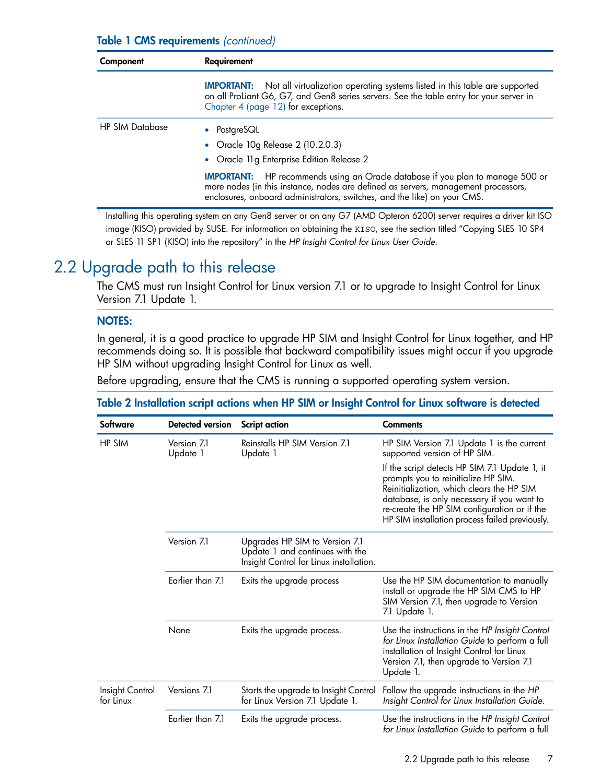### Table 1 CMS requirements *(continued)*

| Component              | Requirement                                                                                                                                                                                                                                                |  |  |  |
|------------------------|------------------------------------------------------------------------------------------------------------------------------------------------------------------------------------------------------------------------------------------------------------|--|--|--|
|                        | <b>IMPORTANT:</b> Not all virtualization operating systems listed in this table are supported<br>on all ProLiant G6, G7, and Gen8 series servers. See the table entry for your server in<br>Chapter 4 (page 12) for exceptions.                            |  |  |  |
| <b>HP SIM Database</b> | • PostgreSQL                                                                                                                                                                                                                                               |  |  |  |
|                        | • Oracle 10g Release $2$ (10.2.0.3)                                                                                                                                                                                                                        |  |  |  |
|                        | • Oracle 11g Enterprise Edition Release 2                                                                                                                                                                                                                  |  |  |  |
|                        | HP recommends using an Oracle database if you plan to manage 500 or<br><b>IMPORTANT:</b><br>more nodes (in this instance, nodes are defined as servers, management processors,<br>enclosures, onboard administrators, switches, and the like) on your CMS. |  |  |  |

<span id="page-6-0"></span>1 Installing this operating system on any Gen8 server or on any G7 (AMD Opteron 6200) server requires a driver kit ISO image (KISO) provided by SUSE. For information on obtaining the KISO, see the section titled "Copying SLES 10 SP4 or SLES 11 SP1 (KISO) into the repository" in the *HP Insight Control for Linux User Guide*.

## 2.2 Upgrade path to this release

<span id="page-6-1"></span>The CMS must run Insight Control for Linux version 7.1 or to upgrade to Insight Control for Linux Version 7.1 Update 1.

### NOTES:

In general, it is a good practice to upgrade HP SIM and Insight Control for Linux together, and HP recommends doing so. It is possible that backward compatibility issues might occur if you upgrade HP SIM without upgrading Insight Control for Linux as well.

Before upgrading, ensure that the CMS is running a supported operating system version.

### Table 2 Installation script actions when HP SIM or Insight Control for Linux software is detected

| Software                     | Detected version        | <b>Script action</b>                                                                                         | <b>Comments</b>                                                                                                                                                                                                                                                                   |
|------------------------------|-------------------------|--------------------------------------------------------------------------------------------------------------|-----------------------------------------------------------------------------------------------------------------------------------------------------------------------------------------------------------------------------------------------------------------------------------|
| HP SIM                       | Version 7.1<br>Update 1 | Reinstalls HP SIM Version 7.1<br>Update 1                                                                    | HP SIM Version 7.1 Update 1 is the current<br>supported version of HP SIM.                                                                                                                                                                                                        |
|                              |                         |                                                                                                              | If the script detects HP SIM 7.1 Update 1, it<br>prompts you to reinitialize HP SIM.<br>Reinitialization, which clears the HP SIM<br>database, is only necessary if you want to<br>re-create the HP SIM configuration or if the<br>HP SIM installation process failed previously. |
|                              | Version 7.1             | Upgrades HP SIM to Version 7.1<br>Update 1 and continues with the<br>Insight Control for Linux installation. |                                                                                                                                                                                                                                                                                   |
|                              | Earlier than 7.1        | Exits the upgrade process                                                                                    | Use the HP SIM documentation to manually<br>install or upgrade the HP SIM CMS to HP<br>SIM Version 7.1, then upgrade to Version<br>7.1 Update 1.                                                                                                                                  |
|                              | None                    | Exits the upgrade process.                                                                                   | Use the instructions in the HP Insight Control<br>for Linux Installation Guide to perform a full<br>installation of Insight Control for Linux<br>Version 7.1, then upgrade to Version 7.1<br>Update 1.                                                                            |
| Insight Control<br>for Linux | Versions 7.1            | Starts the upgrade to Insight Control<br>for Linux Version 7.1 Update 1.                                     | Follow the upgrade instructions in the HP<br>Insight Control for Linux Installation Guide.                                                                                                                                                                                        |
|                              | Earlier than 7.1        | Exits the upgrade process.                                                                                   | Use the instructions in the HP Insight Control<br>for Linux Installation Guide to perform a full                                                                                                                                                                                  |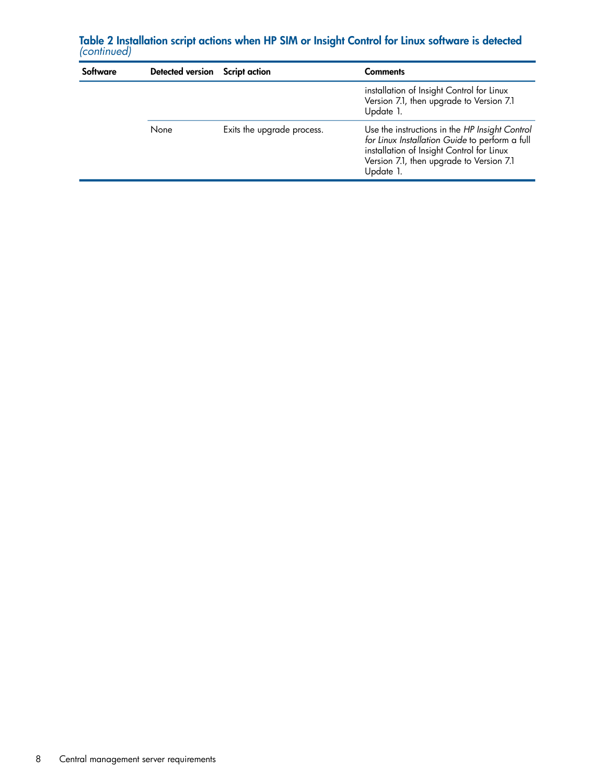| Software<br>Detected version Script action |      |                            | <b>Comments</b>                                                                                                                                                                                        |  |  |
|--------------------------------------------|------|----------------------------|--------------------------------------------------------------------------------------------------------------------------------------------------------------------------------------------------------|--|--|
|                                            |      |                            | installation of Insight Control for Linux<br>Version 7.1, then upgrade to Version 7.1<br>Update 1.                                                                                                     |  |  |
|                                            | None | Exits the upgrade process. | Use the instructions in the HP Insight Control<br>for Linux Installation Guide to perform a full<br>installation of Insight Control for Linux<br>Version 7.1, then upgrade to Version 7.1<br>Update 1. |  |  |

Table 2 Installation script actions when HP SIM or Insight Control for Linux software is detected *(continued)*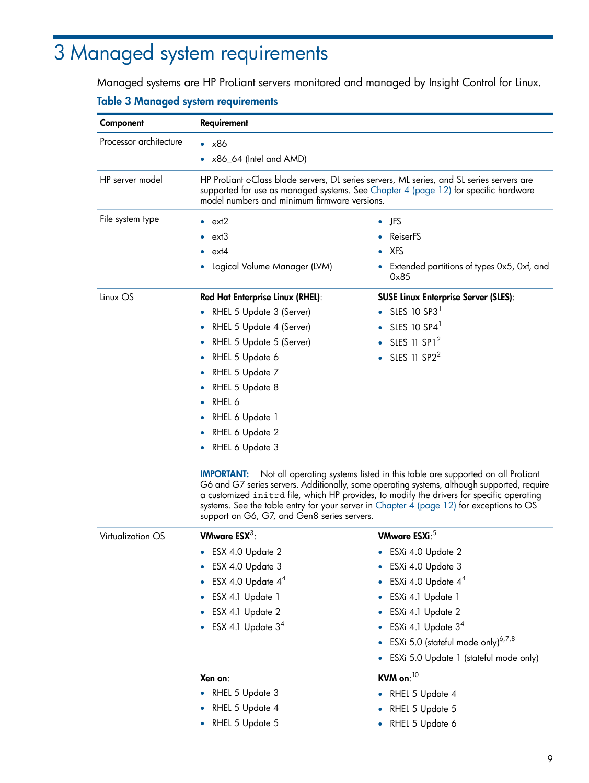# <span id="page-8-0"></span>3 Managed system requirements

<span id="page-8-9"></span>Managed systems are HP ProLiant servers monitored and managed by Insight Control for Linux.

### <span id="page-8-1"></span>Table 3 Managed system requirements

<span id="page-8-14"></span><span id="page-8-13"></span><span id="page-8-12"></span><span id="page-8-11"></span><span id="page-8-10"></span><span id="page-8-8"></span><span id="page-8-7"></span><span id="page-8-6"></span><span id="page-8-5"></span><span id="page-8-4"></span><span id="page-8-3"></span><span id="page-8-2"></span>

| Component                | Requirement                                                                                                                                                                                                                       |                                                                                                                                                                                                                                                                                                                                                                      |  |  |  |
|--------------------------|-----------------------------------------------------------------------------------------------------------------------------------------------------------------------------------------------------------------------------------|----------------------------------------------------------------------------------------------------------------------------------------------------------------------------------------------------------------------------------------------------------------------------------------------------------------------------------------------------------------------|--|--|--|
| Processor architecture   | $\bullet$ x86                                                                                                                                                                                                                     |                                                                                                                                                                                                                                                                                                                                                                      |  |  |  |
|                          | $\bullet$ x86_64 (Intel and AMD)                                                                                                                                                                                                  |                                                                                                                                                                                                                                                                                                                                                                      |  |  |  |
| HP server model          | HP ProLiant c-Class blade servers, DL series servers, ML series, and SL series servers are<br>supported for use as managed systems. See Chapter 4 (page 12) for specific hardware<br>model numbers and minimum firmware versions. |                                                                                                                                                                                                                                                                                                                                                                      |  |  |  |
| File system type         | $\bullet$ ext2                                                                                                                                                                                                                    | $\bullet$ JFS                                                                                                                                                                                                                                                                                                                                                        |  |  |  |
|                          | ext3                                                                                                                                                                                                                              | ReiserFS                                                                                                                                                                                                                                                                                                                                                             |  |  |  |
|                          | ext4                                                                                                                                                                                                                              | $\bullet$ XFS                                                                                                                                                                                                                                                                                                                                                        |  |  |  |
|                          | Logical Volume Manager (LVM)<br>$\bullet$                                                                                                                                                                                         | • Extended partitions of types $0x5$ , $0x$ f, and<br>0x85                                                                                                                                                                                                                                                                                                           |  |  |  |
| Linux OS                 | Red Hat Enterprise Linux (RHEL):                                                                                                                                                                                                  | <b>SUSE Linux Enterprise Server (SLES):</b>                                                                                                                                                                                                                                                                                                                          |  |  |  |
|                          | RHEL 5 Update 3 (Server)                                                                                                                                                                                                          | $\bullet$ SLES 10 SP3 <sup>1</sup>                                                                                                                                                                                                                                                                                                                                   |  |  |  |
|                          | RHEL 5 Update 4 (Server)<br>$\bullet$                                                                                                                                                                                             | $\bullet$ SLES 10 SP4 <sup>1</sup>                                                                                                                                                                                                                                                                                                                                   |  |  |  |
|                          | RHEL 5 Update 5 (Server)                                                                                                                                                                                                          | $\bullet$ SLES 11 SP1 <sup>2</sup>                                                                                                                                                                                                                                                                                                                                   |  |  |  |
|                          | RHEL 5 Update 6<br>$\bullet$                                                                                                                                                                                                      | $\bullet$ SLES 11 SP2 <sup>2</sup>                                                                                                                                                                                                                                                                                                                                   |  |  |  |
|                          | RHEL 5 Update 7                                                                                                                                                                                                                   |                                                                                                                                                                                                                                                                                                                                                                      |  |  |  |
|                          | RHEL 5 Update 8                                                                                                                                                                                                                   |                                                                                                                                                                                                                                                                                                                                                                      |  |  |  |
|                          | RHEL 6                                                                                                                                                                                                                            |                                                                                                                                                                                                                                                                                                                                                                      |  |  |  |
|                          | RHEL 6 Update 1                                                                                                                                                                                                                   |                                                                                                                                                                                                                                                                                                                                                                      |  |  |  |
|                          | RHEL 6 Update 2                                                                                                                                                                                                                   |                                                                                                                                                                                                                                                                                                                                                                      |  |  |  |
|                          | RHEL 6 Update 3<br>٠                                                                                                                                                                                                              |                                                                                                                                                                                                                                                                                                                                                                      |  |  |  |
|                          | <b>IMPORTANT:</b><br>support on G6, G7, and Gen8 series servers.                                                                                                                                                                  | Not all operating systems listed in this table are supported on all ProLiant<br>G6 and G7 series servers. Additionally, some operating systems, although supported, require<br>a customized initrd file, which HP provides, to modify the drivers for specific operating<br>systems. See the table entry for your server in Chapter 4 (page 12) for exceptions to OS |  |  |  |
| <b>Virtualization OS</b> | VMware $ESX^3$ :                                                                                                                                                                                                                  | VMware ESXi: <sup>5</sup>                                                                                                                                                                                                                                                                                                                                            |  |  |  |
|                          | • ESX 4.0 Update 2                                                                                                                                                                                                                | $\bullet$ ESXi 4.0 Update 2                                                                                                                                                                                                                                                                                                                                          |  |  |  |
|                          | ESX 4.0 Update 3                                                                                                                                                                                                                  | • ESXi 4.0 Update 3                                                                                                                                                                                                                                                                                                                                                  |  |  |  |
|                          | ESX 4.0 Update $44$                                                                                                                                                                                                               | • ESXi 4.0 Update $4^4$                                                                                                                                                                                                                                                                                                                                              |  |  |  |
|                          | ESX 4.1 Update 1                                                                                                                                                                                                                  | ESXi 4.1 Update 1                                                                                                                                                                                                                                                                                                                                                    |  |  |  |
|                          | ESX 4.1 Update 2                                                                                                                                                                                                                  | ESXi 4.1 Update 2                                                                                                                                                                                                                                                                                                                                                    |  |  |  |
|                          | ESX 4.1 Update $34$<br>$\bullet$                                                                                                                                                                                                  | • ESXi 4.1 Update $34$                                                                                                                                                                                                                                                                                                                                               |  |  |  |
|                          |                                                                                                                                                                                                                                   | • ESXi 5.0 (stateful mode only) <sup>6,7,8</sup>                                                                                                                                                                                                                                                                                                                     |  |  |  |
|                          |                                                                                                                                                                                                                                   | • ESXi 5.0 Update 1 (stateful mode only)                                                                                                                                                                                                                                                                                                                             |  |  |  |
|                          | Xen on:                                                                                                                                                                                                                           | KVM on: $10$                                                                                                                                                                                                                                                                                                                                                         |  |  |  |
|                          | • RHEL 5 Update 3                                                                                                                                                                                                                 | • RHEL 5 Update 4                                                                                                                                                                                                                                                                                                                                                    |  |  |  |
|                          | RHEL 5 Update 4                                                                                                                                                                                                                   | RHEL 5 Update 5                                                                                                                                                                                                                                                                                                                                                      |  |  |  |
|                          | RHEL 5 Update 5                                                                                                                                                                                                                   | RHEL 5 Update 6                                                                                                                                                                                                                                                                                                                                                      |  |  |  |
|                          |                                                                                                                                                                                                                                   |                                                                                                                                                                                                                                                                                                                                                                      |  |  |  |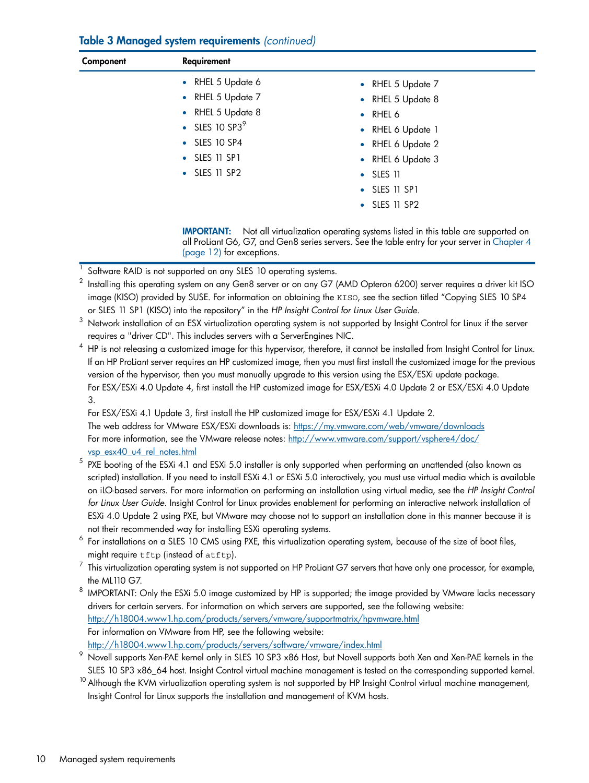### Table 3 Managed system requirements *(continued)*

| Component | Requirement                        |                                                                                                                                                                                |
|-----------|------------------------------------|--------------------------------------------------------------------------------------------------------------------------------------------------------------------------------|
|           | • RHEL 5 Update 6                  | • RHEL 5 Update 7                                                                                                                                                              |
|           | • RHEL 5 Update 7                  | • RHEL 5 Update 8                                                                                                                                                              |
|           | RHEL 5 Update 8<br>$\bullet$       | RHEL 6<br>$\bullet$                                                                                                                                                            |
|           | $\bullet$ SLES 10 SP3 <sup>9</sup> | • RHEL 6 Update 1                                                                                                                                                              |
|           | $\bullet$ SLES 10 SP4              | • RHEL 6 Update 2                                                                                                                                                              |
|           | $\bullet$ SLES 11 SP1              | • RHEL 6 Update 3                                                                                                                                                              |
|           | $\bullet$ SLES 11 SP2              | SLES 11<br>$\bullet$                                                                                                                                                           |
|           |                                    | $\bullet$ SLES 11 SP1                                                                                                                                                          |
|           |                                    | $\bullet$ SLES 11 SP2                                                                                                                                                          |
|           | <b>IMPORTANT:</b>                  | Not all virtualization operating systems listed in this table are supported on<br>all Prolignt G6 G7 and Gen8 series servers. See the table entry for your server in Chapter 4 |

series servers. See the table entry for your server in Ch [\(page](#page-11-0) 12) for exceptions.

- 1 Software RAID is not supported on any SLES 10 operating systems.
- 2 Installing this operating system on any Gen8 server or on any G7 (AMD Opteron 6200) server requires a driver kit ISO image (KISO) provided by SUSE. For information on obtaining the KISO, see the section titled "Copying SLES 10 SP4 or SLES 11 SP1 (KISO) into the repository" in the *HP Insight Control for Linux User Guide*.

 $4$  HP is not releasing a customized image for this hypervisor, therefore, it cannot be installed from Insight Control for Linux. If an HP ProLiant server requires an HP customized image, then you must first install the customized image for the previous version of the hypervisor, then you must manually upgrade to this version using the ESX/ESXi update package. For ESX/ESXi 4.0 Update 4, first install the HP customized image for ESX/ESXi 4.0 Update 2 or ESX/ESXi 4.0 Update 3.

For ESX/ESXi 4.1 Update 3, first install the HP customized image for ESX/ESXi 4.1 Update 2. The web address for VMware ESX/ESXi downloads is: <https://my.vmware.com/web/vmware/downloads> For more information, see the VMware release notes: [http://www.vmware.com/support/vsphere4/doc/](http://www.vmware.com/support/vsphere4/doc/vsp_esx40_u4_rel_notes.html) [vsp\\_esx40\\_u4\\_rel\\_notes.html](http://www.vmware.com/support/vsphere4/doc/vsp_esx40_u4_rel_notes.html)

- $^5\,$  PXE booting of the ESXi 4.1 and ESXi 5.0 installer is only supported when performing an unattended (also known as scripted) installation. If you need to install ESXi 4.1 or ESXi 5.0 interactively, you must use virtual media which is available on iLO-based servers. For more information on performing an installation using virtual media, see the *HP Insight Control for Linux User Guide*. Insight Control for Linux provides enablement for performing an interactive network installation of ESXi 4.0 Update 2 using PXE, but VMware may choose not to support an installation done in this manner because it is not their recommended way for installing ESXi operating systems.
- 6 For installations on a SLES 10 CMS using PXE, this virtualization operating system, because of the size of boot files, might require tftp (instead of atftp).
- 7 This virtualization operating system is not supported on HP ProLiant G7 servers that have only one processor, for example, the ML110 G7.
- $^8\,$  IMPORTANT: Only the ESXi 5.0 image customized by HP is supported; the image provided by VMware lacks necessary drivers for certain servers. For information on which servers are supported, see the following website: <http://h18004.www1.hp.com/products/servers/vmware/supportmatrix/hpvmware.html> For information on VMware from HP, see the following website: <http://h18004.www1.hp.com/products/servers/software/vmware/index.html>
- Novell supports Xen-PAE kernel only in SLES 10 SP3 x86 Host, but Novell supports both Xen and Xen-PAE kernels in the SLES 10 SP3 x86 64 host. Insight Control virtual machine management is tested on the corresponding supported kernel.
- <sup>10</sup> Although the KVM virtualization operating system is not supported by HP Insight Control virtual machine management, Insight Control for Linux supports the installation and management of KVM hosts.

<sup>3</sup> Network installation of an ESX virtualization operating system is not supported by Insight Control for Linux if the server requires a "driver CD". This includes servers with a ServerEngines NIC.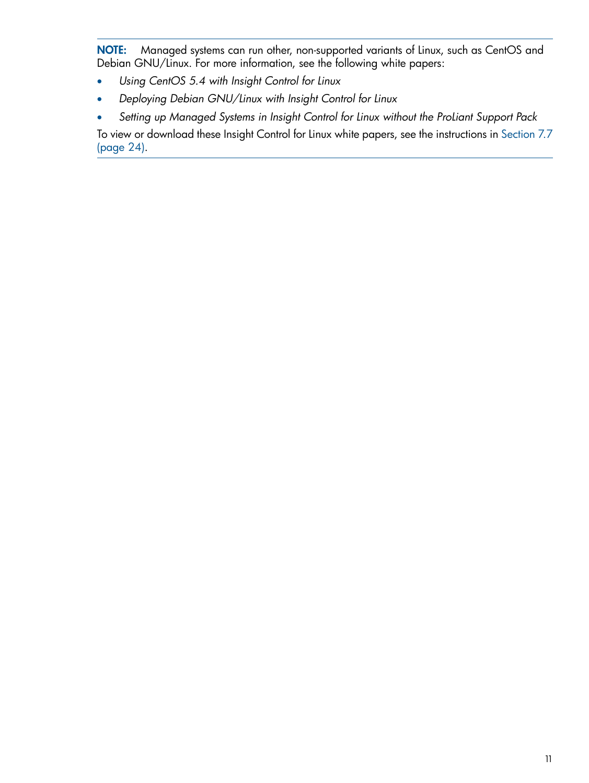NOTE: Managed systems can run other, non-supported variants of Linux, such as CentOS and Debian GNU/Linux. For more information, see the following white papers:

- <span id="page-10-0"></span>• *Using CentOS 5.4 with Insight Control for Linux*
- *Deploying Debian GNU/Linux with Insight Control for Linux*
- *Setting up Managed Systems in Insight Control for Linux without the ProLiant Support Pack*

To view or download these Insight Control for Linux white papers, see the instructions in [Section](#page-23-0) 7.7 [\(page](#page-23-0) 24).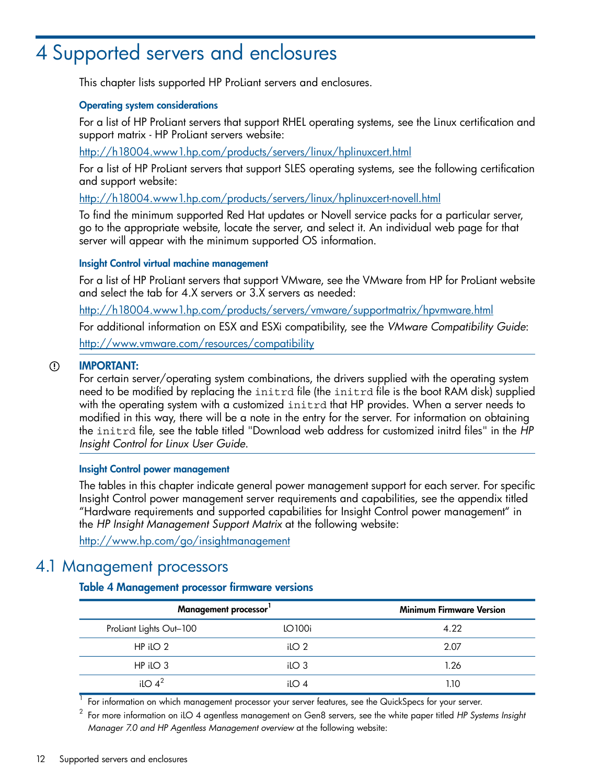# <span id="page-11-0"></span>4 Supported servers and enclosures

<span id="page-11-7"></span>This chapter lists supported HP ProLiant servers and enclosures.

#### Operating system considerations

For a list of HP ProLiant servers that support RHEL operating systems, see the Linux certification and support matrix - HP ProLiant servers website:

<http://h18004.www1.hp.com/products/servers/linux/hplinuxcert.html>

For a list of HP ProLiant servers that support SLES operating systems, see the following certification and support website:

<http://h18004.www1.hp.com/products/servers/linux/hplinuxcert-novell.html>

To find the minimum supported Red Hat updates or Novell service packs for a particular server, go to the appropriate website, locate the server, and select it. An individual web page for that server will appear with the minimum supported OS information.

#### <span id="page-11-6"></span>Insight Control virtual machine management

<span id="page-11-2"></span>For a list of HP ProLiant servers that support VMware, see the VMware from HP for ProLiant website and select the tab for 4.X servers or 3.X servers as needed:

<http://h18004.www1.hp.com/products/servers/vmware/supportmatrix/hpvmware.html>

<span id="page-11-4"></span>For additional information on ESX and ESXi compatibility, see the *VMware Compatibility Guide*: <http://www.vmware.com/resources/compatibility>

#### IMPORTANT:  $\mathbb{O}$

For certain server/operating system combinations, the drivers supplied with the operating system need to be modified by replacing the initrd file (the initrd file is the boot RAM disk) supplied with the operating system with a customized initrd that HP provides. When a server needs to modified in this way, there will be a note in the entry for the server. For information on obtaining the initrd file, see the table titled "Download web address for customized initrd files" in the *HP Insight Control for Linux User Guide*.

#### <span id="page-11-5"></span>Insight Control power management

<span id="page-11-1"></span>The tables in this chapter indicate general power management support for each server. For specific Insight Control power management server requirements and capabilities, see the appendix titled "Hardware requirements and supported capabilities for Insight Control power management" in the *HP Insight Management Support Matrix* at the following website:

<span id="page-11-3"></span><http://www.hp.com/go/insightmanagement>

### 4.1 Management processors

#### Table 4 Management processor firmware versions

| Management processor'        | <b>Minimum Firmware Version</b> |      |
|------------------------------|---------------------------------|------|
| ProLiant Lights Out-100      | LO100i                          | 4.22 |
| $HP$ ilo 2                   | iLO <sub>2</sub>                | 2.07 |
| $HP$ ilo 3                   | iLO <sub>3</sub>                | 1.26 |
| il $\bigcirc$ 4 <sup>2</sup> | il $\bigcirc$ 4                 |      |

 $^{\rm 1}$  For information on which management processor your server features, see the QuickSpecs for your server.

2 For more information on iLO 4 agentless management on Gen8 servers, see the white paper titled *HP Systems Insight Manager 7.0 and HP Agentless Management overview* at the following website: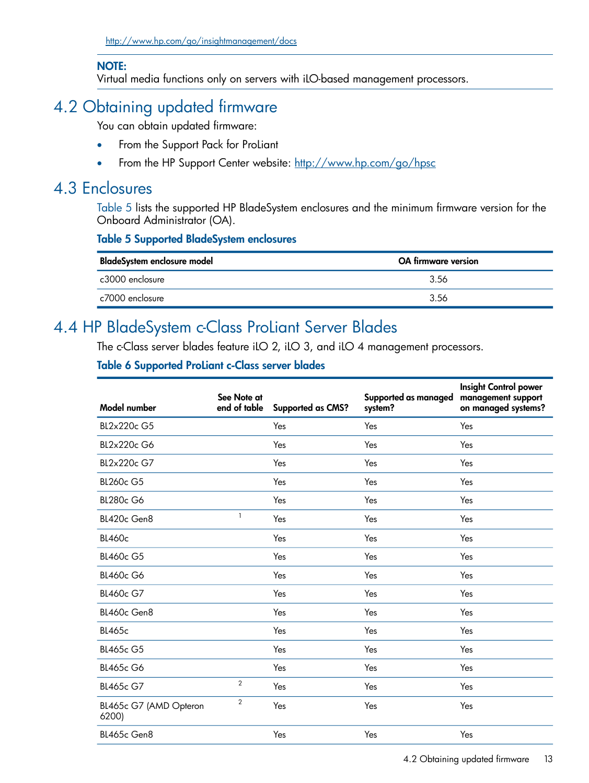### NOTE:

<span id="page-12-7"></span><span id="page-12-0"></span>Virtual media functions only on servers with iLO-based management processors.

# 4.2 Obtaining updated firmware

<span id="page-12-6"></span>You can obtain updated firmware:

- From the Support Pack for ProLiant
- <span id="page-12-1"></span>• From the HP Support Center website: <http://www.hp.com/go/hpsc>

### 4.3 Enclosures

<span id="page-12-5"></span><span id="page-12-3"></span>[Table](#page-12-3) 5 lists the supported HP BladeSystem enclosures and the minimum firmware version for the Onboard Administrator (OA).

### Table 5 Supported BladeSystem enclosures

<span id="page-12-2"></span>

| BladeSystem enclosure model | <b>OA</b> firmware version |  |  |
|-----------------------------|----------------------------|--|--|
| c3000 enclosure             | -3.56                      |  |  |
| c7000 enclosure             | 3.56                       |  |  |

## 4.4 HP BladeSystem c-Class ProLiant Server Blades

<span id="page-12-9"></span><span id="page-12-4"></span>The c-Class server blades feature iLO 2, iLO 3, and iLO 4 management processors.

### Table 6 Supported ProLiant c-Class server blades

<span id="page-12-8"></span>

| Model number                    | See Note at<br>end of table | <b>Supported as CMS?</b> | Supported as managed<br>system? | <b>Insight Control power</b><br>management support<br>on managed systems? |
|---------------------------------|-----------------------------|--------------------------|---------------------------------|---------------------------------------------------------------------------|
| BL2x220c G5                     |                             | Yes                      | Yes                             | Yes                                                                       |
| BL2x220c G6                     |                             | Yes                      | Yes                             | Yes                                                                       |
| BL2x220c G7                     |                             | Yes                      | Yes                             | Yes                                                                       |
| <b>BL260c G5</b>                |                             | Yes                      | Yes                             | Yes                                                                       |
| <b>BL280c G6</b>                |                             | Yes                      | Yes                             | Yes                                                                       |
| BL420c Gen8                     | $\mathbf{1}$                | Yes                      | Yes                             | Yes                                                                       |
| <b>BL460c</b>                   |                             | Yes                      | Yes                             | Yes                                                                       |
| <b>BL460c G5</b>                |                             | Yes                      | Yes                             | Yes                                                                       |
| <b>BL460c G6</b>                |                             | Yes                      | Yes                             | Yes                                                                       |
| <b>BL460c G7</b>                |                             | Yes                      | Yes                             | Yes                                                                       |
| BL460c Gen8                     |                             | Yes                      | Yes                             | Yes                                                                       |
| <b>BL465c</b>                   |                             | Yes                      | Yes                             | Yes                                                                       |
| <b>BL465c G5</b>                |                             | Yes                      | Yes                             | Yes                                                                       |
| <b>BL465c G6</b>                |                             | Yes                      | Yes                             | Yes                                                                       |
| <b>BL465c G7</b>                | 2                           | Yes                      | Yes                             | Yes                                                                       |
| BL465c G7 (AMD Opteron<br>6200) | $\overline{2}$              | Yes                      | Yes                             | Yes                                                                       |
| BL465c Gen8                     |                             | Yes                      | Yes                             | Yes                                                                       |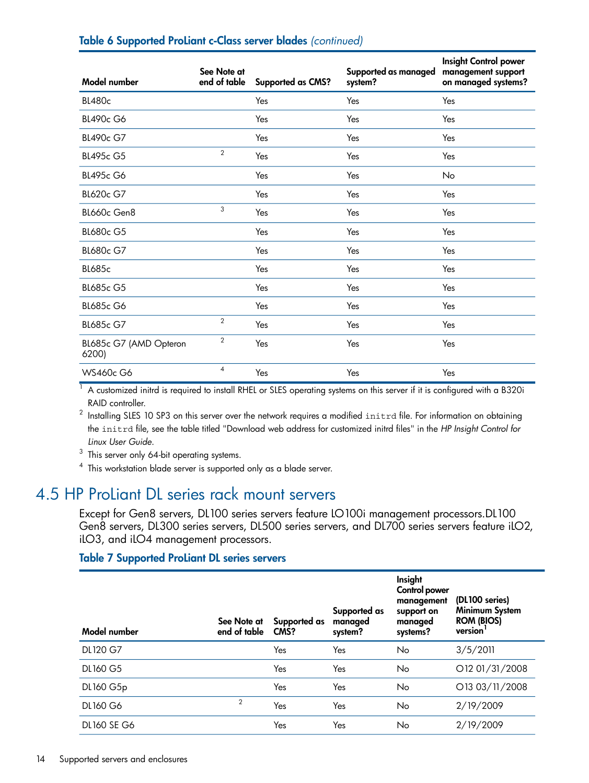<span id="page-13-2"></span>

| Model number                    | See Note at<br>end of table | <b>Supported as CMS?</b> | Supported as managed<br>system? | <b>Insight Control power</b><br>management support<br>on managed systems? |
|---------------------------------|-----------------------------|--------------------------|---------------------------------|---------------------------------------------------------------------------|
| <b>BL480c</b>                   |                             | Yes                      | Yes                             | Yes                                                                       |
| <b>BL490c G6</b>                |                             | Yes                      | Yes                             | Yes                                                                       |
| BL490c G7                       |                             | Yes                      | Yes                             | Yes                                                                       |
| BL495c G5                       | $\overline{2}$              | Yes                      | Yes                             | Yes                                                                       |
| <b>BL495c G6</b>                |                             | Yes                      | Yes                             | No                                                                        |
| <b>BL620c G7</b>                |                             | Yes                      | Yes                             | Yes                                                                       |
| BL660c Gen8                     | 3                           | Yes                      | Yes                             | Yes                                                                       |
| <b>BL680c G5</b>                |                             | Yes                      | Yes                             | Yes                                                                       |
| <b>BL680c G7</b>                |                             | Yes                      | Yes                             | Yes                                                                       |
| <b>BL685c</b>                   |                             | Yes                      | Yes                             | Yes                                                                       |
| <b>BL685c G5</b>                |                             | Yes                      | Yes                             | Yes                                                                       |
| <b>BL685c G6</b>                |                             | Yes                      | Yes                             | Yes                                                                       |
| <b>BL685c G7</b>                | $\overline{2}$              | Yes                      | Yes                             | Yes                                                                       |
| BL685c G7 (AMD Opteron<br>6200) | $\overline{2}$              | Yes                      | Yes                             | Yes                                                                       |
| <b>WS460c G6</b>                | $\overline{4}$              | Yes                      | Yes                             | Yes                                                                       |

#### Table 6 Supported ProLiant c-Class server blades *(continued)*

 $1$  A customized initrd is required to install RHEL or SLES operating systems on this server if it is configured with a B320i RAID controller.

 $^{\rm 2}$  Installing SLES 10 SP3 on this server over the network requires a modified <code>initr</code>d file. For information on obtaining the initrd file, see the table titled "Download web address for customized initrd files" in the *HP Insight Control for Linux User Guide*.

<span id="page-13-0"></span> $3$  This server only 64-bit operating systems.

<span id="page-13-1"></span>4 This workstation blade server is supported only as a blade server.

### 4.5 HP ProLiant DL series rack mount servers

<span id="page-13-3"></span>Except for Gen8 servers, DL100 series servers feature LO100i management processors.DL100 Gen8 servers, DL300 series servers, DL500 series servers, and DL700 series servers feature iLO2, iLO3, and iLO4 management processors.

#### Table 7 Supported ProLiant DL series servers

| Model number       | See Note at<br>end of table | Supported as<br>CMS? | Supported as<br>managed<br>system? | Insight<br>Control power<br>management<br>support on<br>managed<br>systems? | (DL100 series)<br>Minimum System<br><b>ROM (BIOS)</b><br>version |
|--------------------|-----------------------------|----------------------|------------------------------------|-----------------------------------------------------------------------------|------------------------------------------------------------------|
| DL120 G7           |                             | Yes                  | Yes                                | No                                                                          | 3/5/2011                                                         |
| DL160 G5           |                             | Yes                  | Yes                                | No                                                                          | O12 01/31/2008                                                   |
| DL160 G5p          |                             | Yes                  | Yes                                | No                                                                          | O13 03/11/2008                                                   |
| <b>DL160 G6</b>    | $\overline{2}$              | Yes                  | Yes                                | No                                                                          | 2/19/2009                                                        |
| <b>DL160 SE G6</b> |                             | Yes                  | Yes                                | No                                                                          | 2/19/2009                                                        |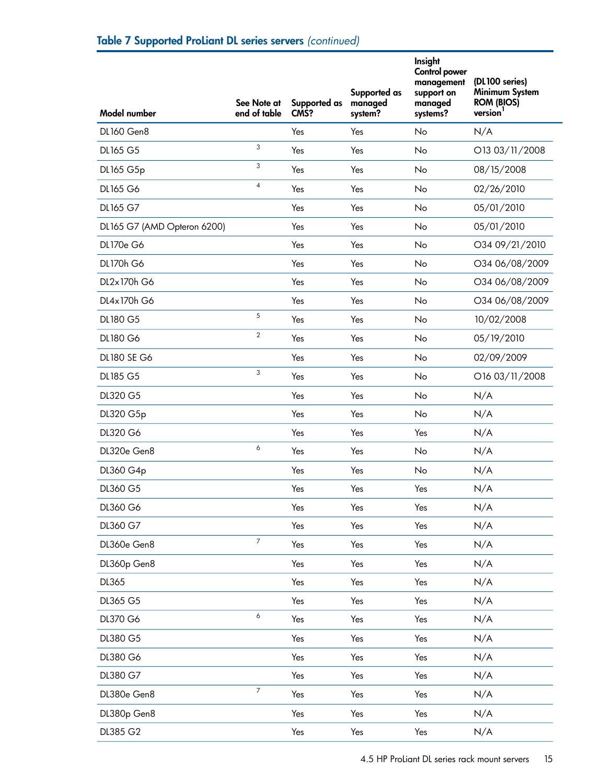<span id="page-14-1"></span><span id="page-14-0"></span>

| Model number                | See Note at<br>end of table | Supported as<br>CMS? | Supported as<br>managed<br>system? | Insight<br>Control power<br>management<br>support on<br>managed<br>systems? | (DL100 series)<br>Minimum System<br><b>ROM (BIOS)</b><br>version <sup>1</sup> |
|-----------------------------|-----------------------------|----------------------|------------------------------------|-----------------------------------------------------------------------------|-------------------------------------------------------------------------------|
| <b>DL160 Gen8</b>           |                             | Yes                  | Yes                                | No                                                                          | N/A                                                                           |
| DL165 G5                    | 3                           | Yes                  | Yes                                | No                                                                          | O13 03/11/2008                                                                |
| DL165 G5p                   | 3                           | Yes                  | Yes                                | No                                                                          | 08/15/2008                                                                    |
| DL165 G6                    | $\overline{\mathbf{4}}$     | Yes                  | Yes                                | No                                                                          | 02/26/2010                                                                    |
| DL165 G7                    |                             | Yes                  | Yes                                | No                                                                          | 05/01/2010                                                                    |
| DL165 G7 (AMD Opteron 6200) |                             | Yes                  | Yes                                | No                                                                          | 05/01/2010                                                                    |
| DL170e G6                   |                             | Yes                  | Yes                                | No                                                                          | O34 09/21/2010                                                                |
| <b>DL170h G6</b>            |                             | Yes                  | Yes                                | No                                                                          | O34 06/08/2009                                                                |
| DL2x170h G6                 |                             | Yes                  | Yes                                | <b>No</b>                                                                   | O34 06/08/2009                                                                |
| DL4x170h G6                 |                             | Yes                  | Yes                                | No                                                                          | O34 06/08/2009                                                                |
| DL180 G5                    | 5                           | Yes                  | Yes                                | No                                                                          | 10/02/2008                                                                    |
| DL180 G6                    | $\overline{2}$              | Yes                  | Yes                                | No                                                                          | 05/19/2010                                                                    |
| <b>DL180 SE G6</b>          |                             | Yes                  | Yes                                | No                                                                          | 02/09/2009                                                                    |
| DL185 G5                    | 3                           | Yes                  | Yes                                | No                                                                          | O16 03/11/2008                                                                |
| DL320 G5                    |                             | Yes                  | Yes                                | No                                                                          | N/A                                                                           |
| DL320 G5p                   |                             | Yes                  | Yes                                | No                                                                          | N/A                                                                           |
| DL320 G6                    |                             | Yes                  | Yes                                | Yes                                                                         | N/A                                                                           |
| DL320e Gen8                 | 6                           | Yes                  | Yes                                | No                                                                          | N/A                                                                           |
| DL360 G4p                   |                             | Yes                  | Yes                                | No                                                                          | N/A                                                                           |
| DL360 G5                    |                             | Yes                  | Yes                                | Yes                                                                         | N/A                                                                           |
| DL360 G6                    |                             | Yes                  | Yes                                | Yes                                                                         | N/A                                                                           |
| DL360 G7                    |                             | Yes                  | Yes                                | Yes                                                                         | N/A                                                                           |
| DL360e Gen8                 | $\overline{7}$              | Yes                  | Yes                                | Yes                                                                         | N/A                                                                           |
| DL360p Gen8                 |                             | Yes                  | Yes                                | Yes                                                                         | N/A                                                                           |
| DL365                       |                             | Yes                  | Yes                                | Yes                                                                         | N/A                                                                           |
| DL365 G5                    |                             | Yes                  | Yes                                | Yes                                                                         | N/A                                                                           |
| DL370 G6                    | 6                           | Yes                  | Yes                                | Yes                                                                         | N/A                                                                           |
| DL380 G5                    |                             | Yes                  | Yes                                | Yes                                                                         | N/A                                                                           |
| DL380 G6                    |                             | Yes                  | Yes                                | Yes                                                                         | N/A                                                                           |
| DL380 G7                    |                             | Yes                  | Yes                                | Yes                                                                         | N/A                                                                           |
| DL380e Gen8                 | $\overline{7}$              | Yes                  | Yes                                | Yes                                                                         | N/A                                                                           |
| DL380p Gen8                 |                             | Yes                  | Yes                                | Yes                                                                         | N/A                                                                           |
| DL385 G2                    |                             | Yes                  | Yes                                | Yes                                                                         | N/A                                                                           |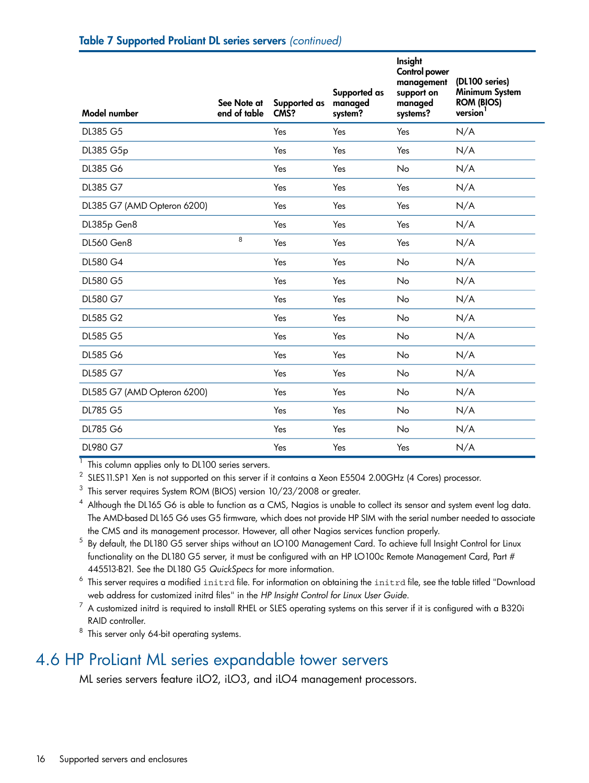| <b>Model number</b>         | See Note at<br>end of table | Supported as<br>CMS? | Supported as<br>managed<br>system? | Insight<br>Control power<br>management<br>support on<br>managed<br>systems? | (DL100 series)<br>Minimum System<br>ROM (BIOS)<br>version <sup>1</sup> |
|-----------------------------|-----------------------------|----------------------|------------------------------------|-----------------------------------------------------------------------------|------------------------------------------------------------------------|
| DL385 G5                    |                             | Yes                  | Yes                                | Yes                                                                         | N/A                                                                    |
| DL385 G5p                   |                             | Yes                  | Yes                                | Yes                                                                         | N/A                                                                    |
| DL385 G6                    |                             | Yes                  | Yes                                | No                                                                          | N/A                                                                    |
| DL385 G7                    |                             | Yes                  | Yes                                | Yes                                                                         | N/A                                                                    |
| DL385 G7 (AMD Opteron 6200) |                             | Yes                  | Yes                                | Yes                                                                         | N/A                                                                    |
| DL385p Gen8                 |                             | Yes                  | Yes                                | Yes                                                                         | N/A                                                                    |
| <b>DL560 Gen8</b>           | 8                           | Yes                  | Yes                                | Yes                                                                         | N/A                                                                    |
| DL580 G4                    |                             | Yes                  | Yes                                | No                                                                          | N/A                                                                    |
| DL580 G5                    |                             | Yes                  | Yes                                | No                                                                          | N/A                                                                    |
| DL580 G7                    |                             | Yes                  | Yes                                | No                                                                          | N/A                                                                    |
| DL585 G2                    |                             | Yes                  | Yes                                | No                                                                          | N/A                                                                    |
| DL585 G5                    |                             | Yes                  | Yes                                | No                                                                          | N/A                                                                    |
| DL585 G6                    |                             | Yes                  | Yes                                | No                                                                          | N/A                                                                    |
| DL585 G7                    |                             | Yes                  | Yes                                | No                                                                          | N/A                                                                    |
| DL585 G7 (AMD Opteron 6200) |                             | Yes                  | Yes                                | No                                                                          | N/A                                                                    |
| <b>DL785 G5</b>             |                             | Yes                  | Yes                                | No                                                                          | N/A                                                                    |
| DL785 G6                    |                             | Yes                  | Yes                                | No                                                                          | N/A                                                                    |
| DL980 G7                    |                             | Yes                  | Yes                                | Yes                                                                         | N/A                                                                    |

 $1$  This column applies only to DL100 series servers.

2 SLES11.SP1 Xen is not supported on this server if it contains a Xeon E5504 2.00GHz (4 Cores) processor.

 $^3$  This server requires System ROM (BIOS) version 10/23/2008 or greater.

Although the DL165 G6 is able to function as a CMS, Nagios is unable to collect its sensor and system event log data. The AMD-based DL165 G6 uses G5 firmware, which does not provide HP SIM with the serial number needed to associate the CMS and its management processor. However, all other Nagios services function properly.

5 By default, the DL180 G5 server ships without an LO100 Management Card. To achieve full Insight Control for Linux functionality on the DL180 G5 server, it must be configured with an HP LO100c Remote Management Card, Part # 445513-B21. See the DL180 G5 *QuickSpecs* for more information.

<span id="page-15-0"></span> $^6\,$  This server requires a modified <code>initrd</code> file. For information on obtaining the <code>initrd</code> file, see the table titled "Download web address for customized initrd files" in the *HP Insight Control for Linux User Guide*.

<span id="page-15-1"></span> $^7$  A customized initrd is required to install RHEL or SLES operating systems on this server if it is configured with a B320i RAID controller.

<span id="page-15-2"></span> $8$  This server only 64-bit operating systems.

### 4.6 HP ProLiant ML series expandable tower servers

ML series servers feature iLO2, iLO3, and iLO4 management processors.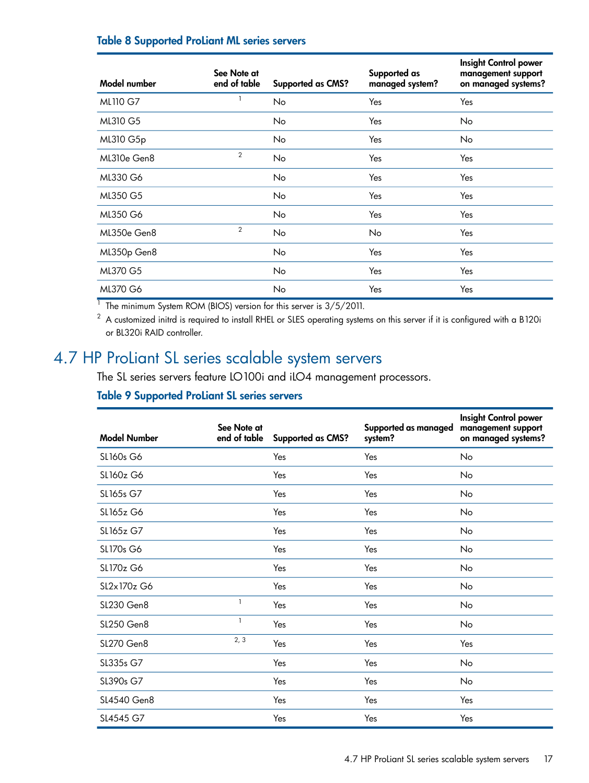### Table 8 Supported ProLiant ML series servers

| Model number | See Note at<br>end of table | <b>Supported as CMS?</b> | Supported as<br>managed system? | Insight Control power<br>management support<br>on managed systems? |
|--------------|-----------------------------|--------------------------|---------------------------------|--------------------------------------------------------------------|
| ML110 G7     |                             | No                       | Yes                             | Yes                                                                |
| ML310 G5     |                             | No.                      | Yes                             | No                                                                 |
| ML310 G5p    |                             | No.                      | Yes                             | <b>No</b>                                                          |
| ML310e Gen8  | 2                           | No.                      | Yes                             | Yes                                                                |
| ML330 G6     |                             | No                       | Yes                             | Yes                                                                |
| ML350 G5     |                             | No.                      | Yes                             | Yes                                                                |
| ML350 G6     |                             | No                       | Yes                             | Yes                                                                |
| ML350e Gen8  | $\overline{2}$              | No                       | N <sub>o</sub>                  | Yes                                                                |
| ML350p Gen8  |                             | No.                      | Yes                             | Yes                                                                |
| ML370 G5     |                             | No.                      | Yes                             | Yes                                                                |
| ML370 G6     |                             | No                       | Yes                             | Yes                                                                |

 $1$  The minimum System ROM (BIOS) version for this server is 3/5/2011.

<span id="page-16-1"></span><span id="page-16-0"></span> $2\,$  A customized initrd is required to install RHEL or SLES operating systems on this server if it is configured with a B120i or BL320i RAID controller.

## 4.7 HP ProLiant SL series scalable system servers

The SL series servers feature LO100i and iLO4 management processors.

### Table 9 Supported ProLiant SL series servers

| <b>Model Number</b> | See Note at<br>end of table | <b>Supported as CMS?</b> | Supported as managed<br>system? | Insight Control power<br>management support<br>on managed systems? |
|---------------------|-----------------------------|--------------------------|---------------------------------|--------------------------------------------------------------------|
| SL160s G6           |                             | Yes                      | Yes                             | <b>No</b>                                                          |
| SL160z G6           |                             | Yes                      | Yes                             | No                                                                 |
| SL165s G7           |                             | Yes                      | Yes                             | No                                                                 |
| SL165z G6           |                             | Yes                      | Yes                             | No                                                                 |
| SL165z G7           |                             | Yes                      | Yes                             | No                                                                 |
| SL170s G6           |                             | Yes                      | Yes                             | No                                                                 |
| SL170z G6           |                             | Yes                      | Yes                             | No                                                                 |
| SL2x170z G6         |                             | Yes                      | Yes                             | No                                                                 |
| <b>SL230 Gen8</b>   | $\mathbf{1}$                | Yes                      | Yes                             | No                                                                 |
| <b>SL250 Gen8</b>   | $\mathbf{1}$                | Yes                      | Yes                             | No                                                                 |
| <b>SL270 Gen8</b>   | 2, 3                        | Yes                      | Yes                             | Yes                                                                |
| SL335s G7           |                             | Yes                      | Yes                             | No                                                                 |
| SL390s G7           |                             | Yes                      | Yes                             | No                                                                 |
| SL4540 Gen8         |                             | Yes                      | Yes                             | Yes                                                                |
| SL4545 G7           |                             | Yes                      | Yes                             | Yes                                                                |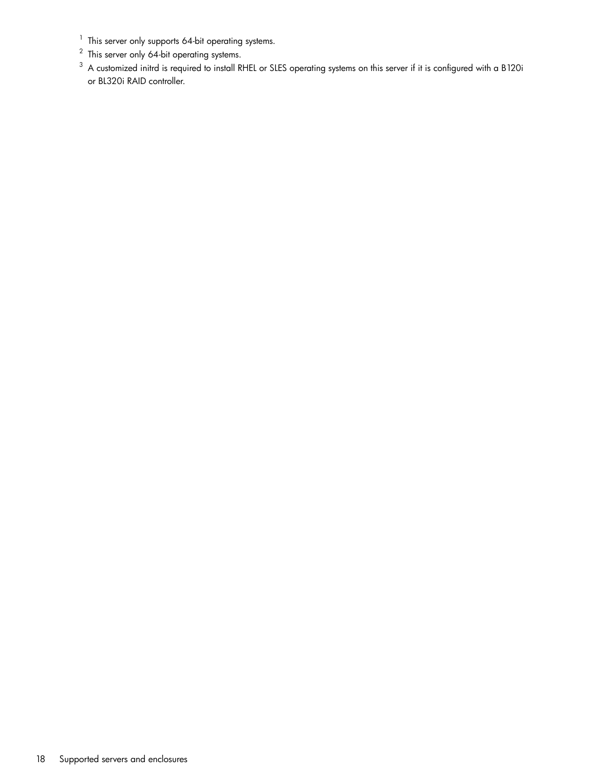- $1$  This server only supports 64-bit operating systems.
- $2$  This server only 64-bit operating systems.
- $^3\,$  A customized initrd is required to install RHEL or SLES operating systems on this server if it is configured with a B120i or BL320i RAID controller.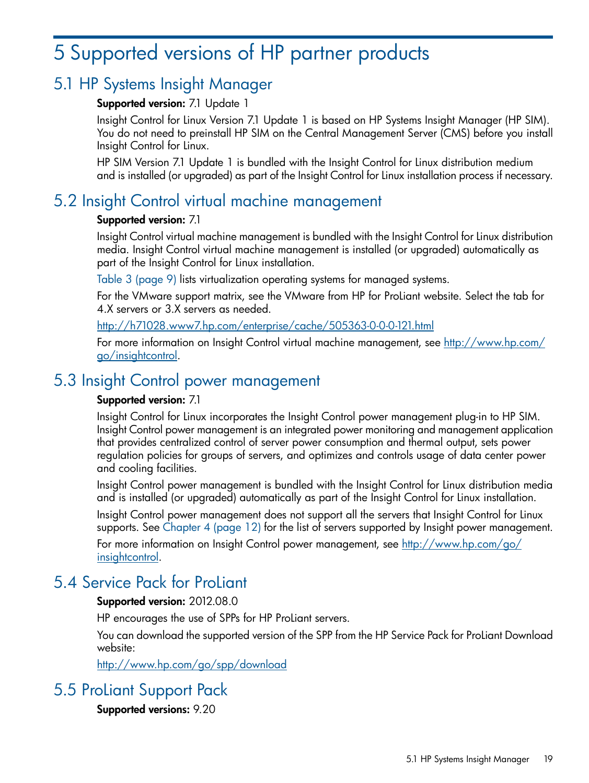# <span id="page-18-0"></span>5 Supported versions of HP partner products

## 5.1 HP Systems Insight Manager

### <span id="page-18-6"></span><span id="page-18-1"></span>Supported version: 7.1 Update 1

Insight Control for Linux Version 7.1 Update 1 is based on HP Systems Insight Manager (HP SIM). You do not need to preinstall HP SIM on the Central Management Server (CMS) before you install Insight Control for Linux.

<span id="page-18-2"></span>HP SIM Version 7.1 Update 1 is bundled with the Insight Control for Linux distribution medium and is installed (or upgraded) as part of the Insight Control for Linux installation process if necessary.

### 5.2 Insight Control virtual machine management

### <span id="page-18-8"></span>Supported version: 7.1

Insight Control virtual machine management is bundled with the Insight Control for Linux distribution media. Insight Control virtual machine management is installed (or upgraded) automatically as part of the Insight Control for Linux installation.

Table 3 [\(page](#page-8-1) 9) lists virtualization operating systems for managed systems.

For the VMware support matrix, see the VMware from HP for ProLiant website. Select the tab for 4.X servers or 3.X servers as needed.

### <http://h71028.www7.hp.com/enterprise/cache/505363-0-0-0-121.html>

<span id="page-18-7"></span><span id="page-18-3"></span>For more information on Insight Control virtual machine management, see [http://www.hp.com/](http://www.hp.com/go/insightcontrol) [go/insightcontrol](http://www.hp.com/go/insightcontrol).

### 5.3 Insight Control power management

### Supported version: 7.1

Insight Control for Linux incorporates the Insight Control power management plug-in to HP SIM. Insight Control power management is an integrated power monitoring and management application that provides centralized control of server power consumption and thermal output, sets power regulation policies for groups of servers, and optimizes and controls usage of data center power and cooling facilities.

Insight Control power management is bundled with the Insight Control for Linux distribution media and is installed (or upgraded) automatically as part of the Insight Control for Linux installation.

<span id="page-18-4"></span>Insight Control power management does not support all the servers that Insight Control for Linux supports. See [Chapter](#page-11-0) 4 (page 12) for the list of servers supported by Insight power management.

<span id="page-18-10"></span>For more information on Insight Control power management, see [http://www.hp.com/go/](http://www.hp.com/go/insightcontrol) [insightcontrol](http://www.hp.com/go/insightcontrol).

### 5.4 Service Pack for ProLiant

### Supported version: 2012.08.0

<span id="page-18-5"></span>HP encourages the use of SPPs for HP ProLiant servers.

<span id="page-18-9"></span>You can download the supported version of the SPP from the HP Service Pack for ProLiant Download website:

<http://www.hp.com/go/spp/download>

### 5.5 ProLiant Support Pack

Supported versions: 9.20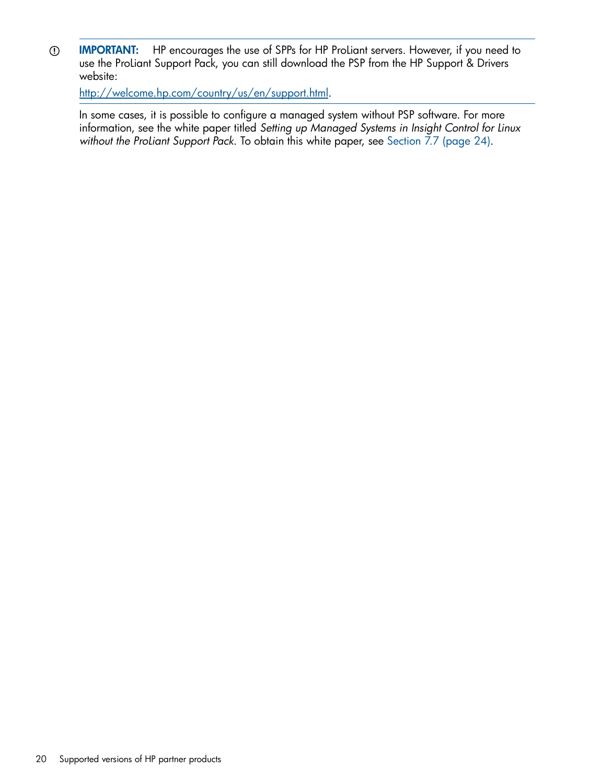IMPORTANT: HP encourages the use of SPPs for HP ProLiant servers. However, if you need to  $\odot$ use the ProLiant Support Pack, you can still download the PSP from the HP Support & Drivers website:

[http://welcome.hp.com/country/us/en/support.html.](http://welcome.hp.com/country/us/en/support.html)

In some cases, it is possible to configure a managed system without PSP software. For more information, see the white paper titled *Setting up Managed Systems in Insight Control for Linux without the ProLiant Support Pack*. To obtain this white paper, see [Section](#page-23-0) 7.7 (page 24).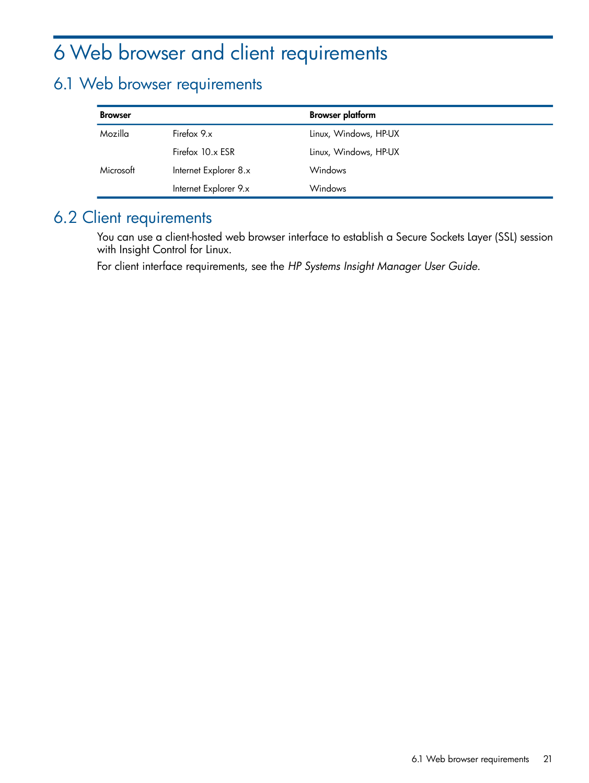# <span id="page-20-0"></span>6 Web browser and client requirements

## <span id="page-20-1"></span>6.1 Web browser requirements

<span id="page-20-4"></span>

| <b>Browser</b> |                       | <b>Browser platform</b> |
|----------------|-----------------------|-------------------------|
| Mozilla        | Firefox 9.x           | Linux, Windows, HP-UX   |
|                | Firefox 10.x ESR      | Linux, Windows, HP-UX   |
| Microsoft      | Internet Explorer 8.x | Windows                 |
|                | Internet Explorer 9.x | Windows                 |

## <span id="page-20-2"></span>6.2 Client requirements

<span id="page-20-3"></span>You can use a client-hosted web browser interface to establish a Secure Sockets Layer (SSL) session with Insight Control for Linux.

For client interface requirements, see the *HP Systems Insight Manager User Guide*.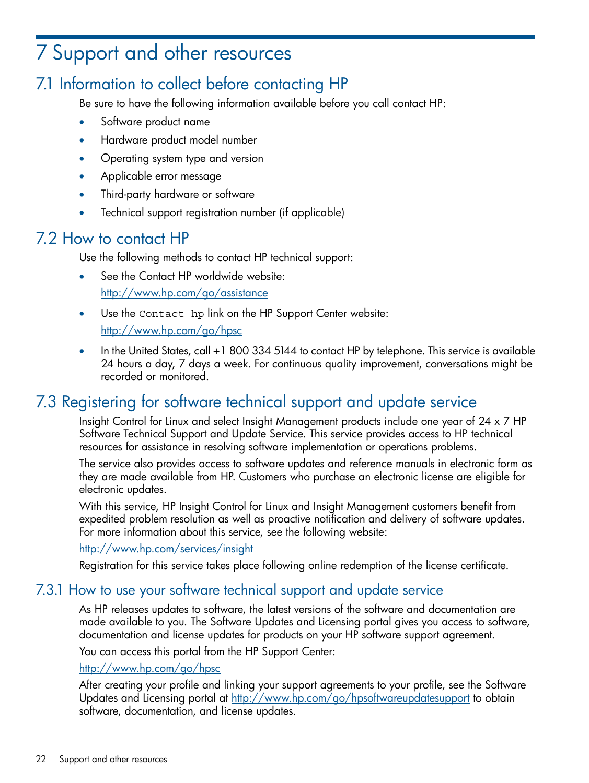# <span id="page-21-0"></span>7 Support and other resources

# 7.1 Information to collect before contacting HP

<span id="page-21-1"></span>Be sure to have the following information available before you call contact HP:

- Software product name
- Hardware product model number
- Operating system type and version
- Applicable error message
- Third-party hardware or software
- <span id="page-21-6"></span><span id="page-21-2"></span>• Technical support registration number (if applicable)

### 7.2 How to contact HP

Use the following methods to contact HP technical support:

- See the Contact HP worldwide website: <http://www.hp.com/go/assistance>
- Use the Contact hp link on the HP Support Center website: <http://www.hp.com/go/hpsc>
- <span id="page-21-8"></span><span id="page-21-3"></span>• In the United States, call +1 800 334 5144 to contact HP by telephone. This service is available 24 hours a day, 7 days a week. For continuous quality improvement, conversations might be recorded or monitored.

# 7.3 Registering for software technical support and update service

Insight Control for Linux and select Insight Management products include one year of 24 x 7 HP Software Technical Support and Update Service. This service provides access to HP technical resources for assistance in resolving software implementation or operations problems.

<span id="page-21-7"></span>The service also provides access to software updates and reference manuals in electronic form as they are made available from HP. Customers who purchase an electronic license are eligible for electronic updates.

<span id="page-21-4"></span>With this service, HP Insight Control for Linux and Insight Management customers benefit from expedited problem resolution as well as proactive notification and delivery of software updates. For more information about this service, see the following website:

### <span id="page-21-5"></span><http://www.hp.com/services/insight>

Registration for this service takes place following online redemption of the license certificate.

### 7.3.1 How to use your software technical support and update service

As HP releases updates to software, the latest versions of the software and documentation are made available to you. The Software Updates and Licensing portal gives you access to software, documentation and license updates for products on your HP software support agreement.

You can access this portal from the HP Support Center:

### <http://www.hp.com/go/hpsc>

After creating your profile and linking your support agreements to your profile, see the Software Updates and Licensing portal at <http://www.hp.com/go/hpsoftwareupdatesupport> to obtain software, documentation, and license updates.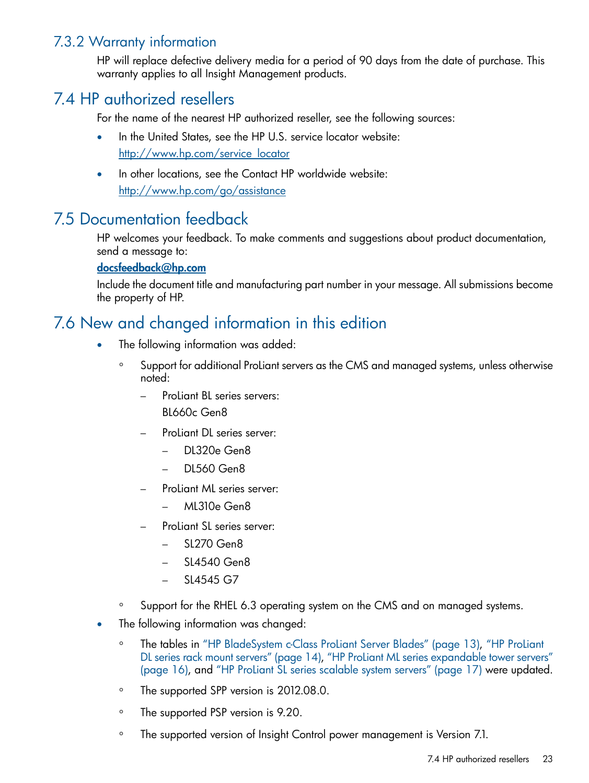### 7.3.2 Warranty information

<span id="page-22-1"></span><span id="page-22-0"></span>HP will replace defective delivery media for a period of 90 days from the date of purchase. This warranty applies to all Insight Management products.

### 7.4 HP authorized resellers

<span id="page-22-5"></span>For the name of the nearest HP authorized reseller, see the following sources:

- In the United States, see the HP U.S. service locator website: [http://www.hp.com/service\\_locator](http://www.hp.com/service_locator)
- <span id="page-22-2"></span>• In other locations, see the Contact HP worldwide website: <http://www.hp.com/go/assistance>

## 7.5 Documentation feedback

<span id="page-22-4"></span>HP welcomes your feedback. To make comments and suggestions about product documentation, send a message to:

### [docsfeedback@hp.com](mailto:docsfeedback@hp.com)

<span id="page-22-3"></span>Include the document title and manufacturing part number in your message. All submissions become the property of HP.

## 7.6 New and changed information in this edition

- The following information was added:
	- Support for additional ProLiant servers as the CMS and managed systems, unless otherwise noted: ◦
		- ProLiant BL series servers: BL660c Gen8
		- ProLiant DL series server:
			- DL320e Gen8
			- DL560 Gen8
		- ProLiant ML series server:
			- ML310e Gen8
		- ProLiant SL series server:
			- SL270 Gen8
			- SL4540 Gen8
			- SL4545 G7
	- Support for the RHEL 6.3 operating system on the CMS and on managed systems.
- The following information was changed:
	- The tables in "HP [BladeSystem](#page-12-2) c-Class ProLiant Server Blades" (page 13), "HP [ProLiant](#page-13-0) DL series rack mount [servers"](#page-13-0) (page 14), "HP ProLiant ML series [expandable](#page-15-0) tower servers" [\(page](#page-15-0) 16), and "HP ProLiant SL series [scalable](#page-16-0) system servers" (page 17) were updated.  $\circ$
	- The supported SPP version is 2012.08.0.
	- The supported PSP version is 9.20.
	- The supported version of Insight Control power management is Version 7.1.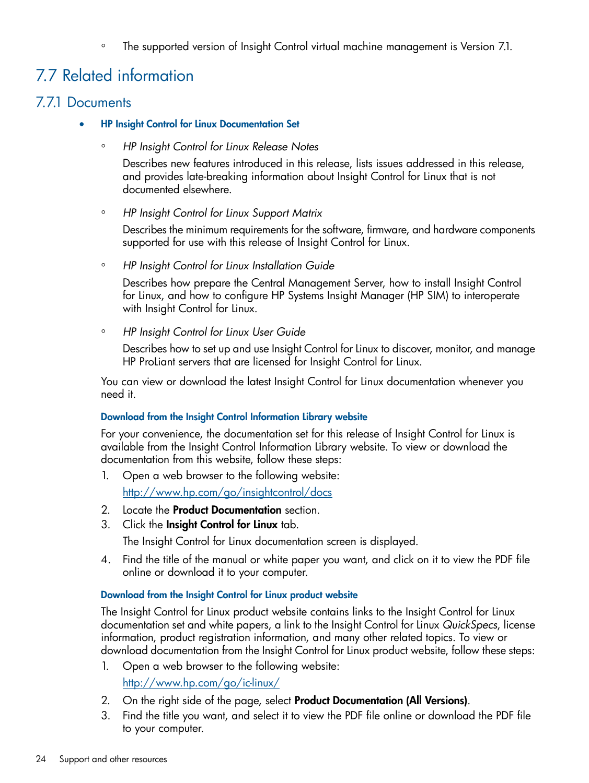<span id="page-23-0"></span>◦ The supported version of Insight Control virtual machine management is Version 7.1.

# 7.7 Related information

### 7.7.1 Documents

- <span id="page-23-2"></span><span id="page-23-1"></span>• HP Insight Control for Linux Documentation Set
	- *HP Insight Control for Linux Release Notes*

Describes new features introduced in this release, lists issues addressed in this release, and provides late-breaking information about Insight Control for Linux that is not documented elsewhere.

◦ *HP Insight Control for Linux Support Matrix*

Describes the minimum requirements for the software, firmware, and hardware components supported for use with this release of Insight Control for Linux.

◦ *HP Insight Control for Linux Installation Guide*

Describes how prepare the Central Management Server, how to install Insight Control for Linux, and how to configure HP Systems Insight Manager (HP SIM) to interoperate with Insight Control for Linux.

◦ *HP Insight Control for Linux User Guide*

Describes how to set up and use Insight Control for Linux to discover, monitor, and manage HP ProLiant servers that are licensed for Insight Control for Linux.

You can view or download the latest Insight Control for Linux documentation whenever you need it.

### Download from the Insight Control Information Library website

For your convenience, the documentation set for this release of Insight Control for Linux is available from the Insight Control Information Library website. To view or download the documentation from this website, follow these steps:

- 1. Open a web browser to the following website: <http://www.hp.com/go/insightcontrol/docs>
- 2. Locate the **Product Documentation** section.
- 3. Click the Insight Control for Linux tab.

The Insight Control for Linux documentation screen is displayed.

4. Find the title of the manual or white paper you want, and click on it to view the PDF file online or download it to your computer.

### Download from the Insight Control for Linux product website

The Insight Control for Linux product website contains links to the Insight Control for Linux documentation set and white papers, a link to the Insight Control for Linux *QuickSpecs*, license information, product registration information, and many other related topics. To view or download documentation from the Insight Control for Linux product website, follow these steps:

- 1. Open a web browser to the following website: <http://www.hp.com/go/ic-linux/>
- 2. On the right side of the page, select Product Documentation (All Versions).
- 3. Find the title you want, and select it to view the PDF file online or download the PDF file to your computer.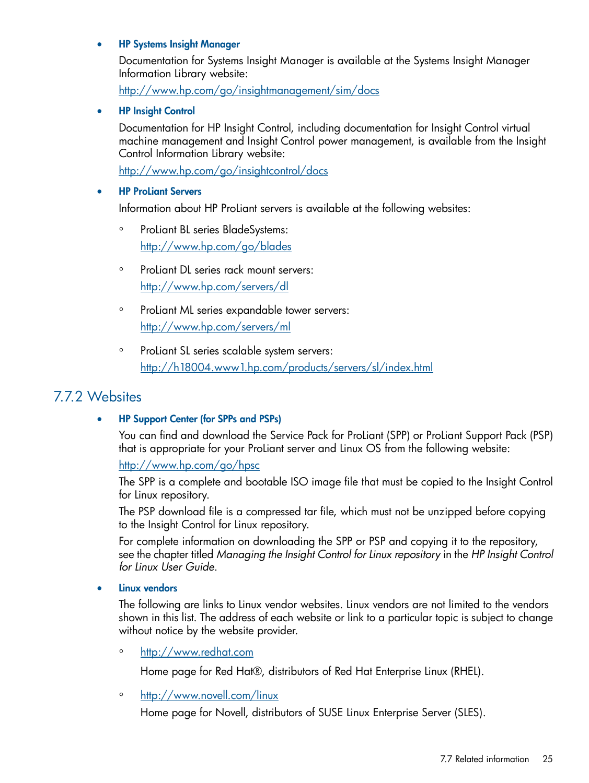### <span id="page-24-5"></span>• HP Systems Insight Manager

Documentation for Systems Insight Manager is available at the Systems Insight Manager Information Library website:

<http://www.hp.com/go/insightmanagement/sim/docs>

<span id="page-24-1"></span>• HP Insight Control

Documentation for HP Insight Control, including documentation for Insight Control virtual machine management and Insight Control power management, is available from the Insight Control Information Library website:

<http://www.hp.com/go/insightcontrol/docs>

### <span id="page-24-4"></span>**HP ProLiant Servers**

Information about HP ProLiant servers is available at the following websites:

- ProLiant BL series BladeSystems: <http://www.hp.com/go/blades>
- ProLiant DL series rack mount servers: <http://www.hp.com/servers/dl>
- ProLiant ML series expandable tower servers: <http://www.hp.com/servers/ml>
- <span id="page-24-0"></span>◦ ProLiant SL series scalable system servers: <http://h18004.www1.hp.com/products/servers/sl/index.html>

### 7.7.2 Websites

### <span id="page-24-2"></span>• HP Support Center (for SPPs and PSPs)

You can find and download the Service Pack for ProLiant (SPP) or ProLiant Support Pack (PSP) that is appropriate for your ProLiant server and Linux OS from the following website:

<http://www.hp.com/go/hpsc>

The SPP is a complete and bootable ISO image file that must be copied to the Insight Control for Linux repository.

The PSP download file is a compressed tar file, which must not be unzipped before copying to the Insight Control for Linux repository.

<span id="page-24-3"></span>For complete information on downloading the SPP or PSP and copying it to the repository, see the chapter titled *Managing the Insight Control for Linux repository* in the *HP Insight Control for Linux User Guide*.

### <span id="page-24-6"></span>Linux vendors

The following are links to Linux vendor websites. Linux vendors are not limited to the vendors shown in this list. The address of each website or link to a particular topic is subject to change without notice by the website provider.

<span id="page-24-7"></span>◦ <http://www.redhat.com>

Home page for Red Hat®, distributors of Red Hat Enterprise Linux (RHEL).

◦ [http://www.novell.com/linux](http://www.novell.com/linux/)

Home page for Novell, distributors of SUSE Linux Enterprise Server (SLES).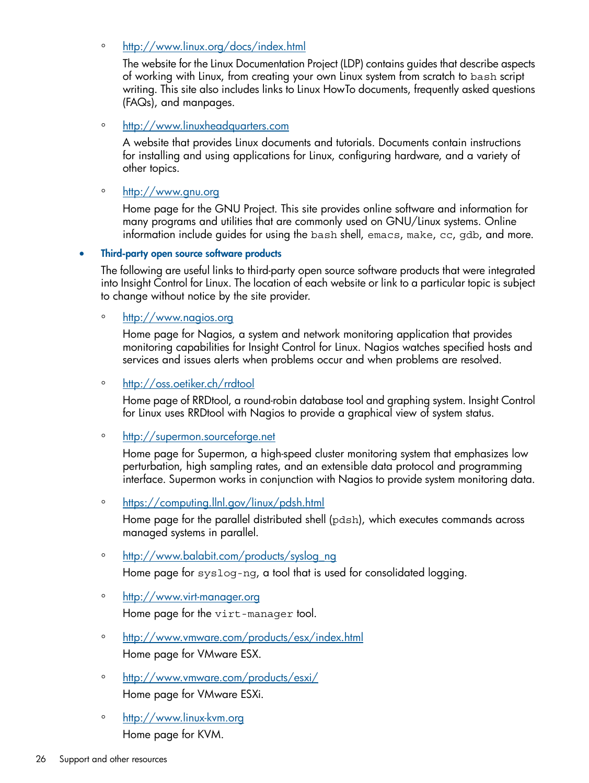◦ <http://www.linux.org/docs/index.html>

The website for the Linux Documentation Project (LDP) contains guides that describe aspects of working with Linux, from creating your own Linux system from scratch to bash script writing. This site also includes links to Linux HowTo documents, frequently asked questions (FAQs), and manpages.

◦ <http://www.linuxheadquarters.com>

A website that provides Linux documents and tutorials. Documents contain instructions for installing and using applications for Linux, configuring hardware, and a variety of other topics.

◦ <http://www.gnu.org>

Home page for the GNU Project. This site provides online software and information for many programs and utilities that are commonly used on GNU/Linux systems. Online information include guides for using the bash shell, emacs, make, cc, gdb, and more.

• Third-party open source software products

The following are useful links to third-party open source software products that were integrated into Insight Control for Linux. The location of each website or link to a particular topic is subject to change without notice by the site provider.

<span id="page-25-3"></span>◦ [http://www.nagios.org](http://www.nagios.org/)

Home page for Nagios, a system and network monitoring application that provides monitoring capabilities for Insight Control for Linux. Nagios watches specified hosts and services and issues alerts when problems occur and when problems are resolved.

<span id="page-25-5"></span>◦ <http://oss.oetiker.ch/rrdtool>

<span id="page-25-6"></span>Home page of RRDtool, a round-robin database tool and graphing system. Insight Control for Linux uses RRDtool with Nagios to provide a graphical view of system status.

◦ [http://supermon.sourceforge.net](http://supermon.sourceforge.net/)

<span id="page-25-4"></span>Home page for Supermon, a high-speed cluster monitoring system that emphasizes low perturbation, high sampling rates, and an extensible data protocol and programming interface. Supermon works in conjunction with Nagios to provide system monitoring data.

◦ <https://computing.llnl.gov/linux/pdsh.html>

<span id="page-25-7"></span>Home page for the parallel distributed shell (pdsh), which executes commands across managed systems in parallel.

<span id="page-25-8"></span>◦ [http://www.balabit.com/products/syslog\\_ng](http://www.balabit.com/products/syslog_ng/)

<span id="page-25-0"></span>Home page for syslog-ng, a tool that is used for consolidated logging.

◦ <http://www.virt-manager.org>

<span id="page-25-1"></span>Home page for the virt-manager tool.

- <http://www.vmware.com/products/esx/index.html> Home page for VMware ESX.
- <span id="page-25-2"></span>◦ <http://www.vmware.com/products/esxi/> Home page for VMware ESXi.
- <http://www.linux-kvm.org> Home page for KVM.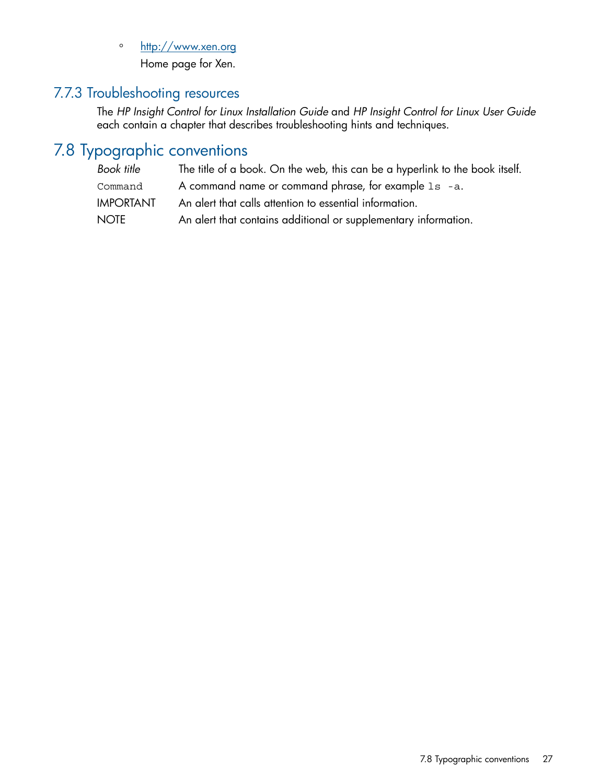<span id="page-26-2"></span>◦ <http://www.xen.org>

Home page for Xen.

### 7.7.3 Troubleshooting resources

<span id="page-26-1"></span><span id="page-26-0"></span>The *HP Insight Control for Linux Installation Guide* and *HP Insight Control for Linux User Guide* each contain a chapter that describes troubleshooting hints and techniques.

# 7.8 Typographic conventions

<span id="page-26-3"></span>

| Book title       | The title of a book. On the web, this can be a hyperlink to the book itself. |
|------------------|------------------------------------------------------------------------------|
| Command          | A command name or command phrase, for example 1s -a.                         |
| <b>IMPORTANT</b> | An alert that calls attention to essential information.                      |
| NOTE             | An alert that contains additional or supplementary information.              |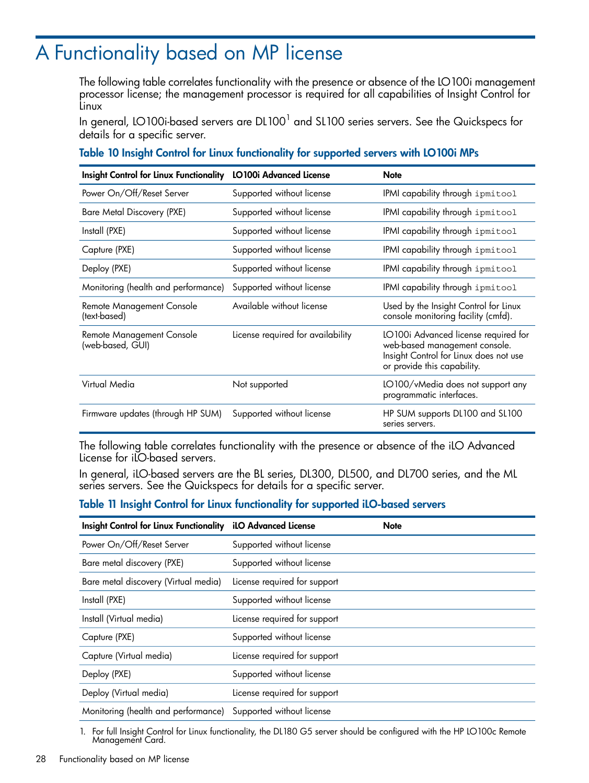# <span id="page-27-0"></span>A Functionality based on MP license

<span id="page-27-2"></span>The following table correlates functionality with the presence or absence of the LO100i management processor license; the management processor is required for all capabilities of Insight Control for Linux

In general, LO100i-based servers are DL100 $^{\rm l}$  and SL100 series servers. See the Quickspecs for details for a specific server.

#### Table 10 Insight Control for Linux functionality for supported servers with LO100i MPs

| Insight Control for Linux Functionality LO100i Advanced License |                                   | <b>Note</b>                                                                                                                                    |
|-----------------------------------------------------------------|-----------------------------------|------------------------------------------------------------------------------------------------------------------------------------------------|
| Power On/Off/Reset Server                                       | Supported without license         | IPMI capability through ipmitool                                                                                                               |
| Bare Metal Discovery (PXE)                                      | Supported without license         | IPMI capability through ipmitool                                                                                                               |
| Install (PXE)                                                   | Supported without license         | IPMI capability through ipmitool                                                                                                               |
| Capture (PXE)                                                   | Supported without license         | IPMI capability through ipmitool                                                                                                               |
| Deploy (PXE)                                                    | Supported without license         | IPMI capability through ipmitool                                                                                                               |
| Monitoring (health and performance)                             | Supported without license         | IPMI capability through ipmitool                                                                                                               |
| Remote Management Console<br>(text-based)                       | Available without license         | Used by the Insight Control for Linux<br>console monitoring facility (cmfd).                                                                   |
| Remote Management Console<br>(web-based, GUI)                   | License required for availability | LO100i Advanced license required for<br>web-based management console.<br>Insight Control for Linux does not use<br>or provide this capability. |
| Virtual Media                                                   | Not supported                     | LO100/vMedia does not support any<br>programmatic interfaces.                                                                                  |
| Firmware updates (through HP SUM)                               | Supported without license         | HP SUM supports DL100 and SL100<br>series servers.                                                                                             |

<span id="page-27-3"></span><span id="page-27-1"></span>The following table correlates functionality with the presence or absence of the iLO Advanced License for iLO-based servers.

In general, iLO-based servers are the BL series, DL300, DL500, and DL700 series, and the ML series servers. See the Quickspecs for details for a specific server.

#### Table 11 Insight Control for Linux functionality for supported iLO-based servers

| <b>Insight Control for Linux Functionality</b> | <b>iLO Advanced License</b>  | <b>Note</b> |
|------------------------------------------------|------------------------------|-------------|
| Power On/Off/Reset Server                      | Supported without license    |             |
| Bare metal discovery (PXE)                     | Supported without license    |             |
| Bare metal discovery (Virtual media)           | License required for support |             |
| Install (PXE)                                  | Supported without license    |             |
| Install (Virtual media)                        | License required for support |             |
| Capture (PXE)                                  | Supported without license    |             |
| Capture (Virtual media)                        | License required for support |             |
| Deploy (PXE)                                   | Supported without license    |             |
| Deploy (Virtual media)                         | License required for support |             |
| Monitoring (health and performance)            | Supported without license    |             |

1. For full Insight Control for Linux functionality, the DL180 G5 server should be configured with the HP LO100c Remote Management Card.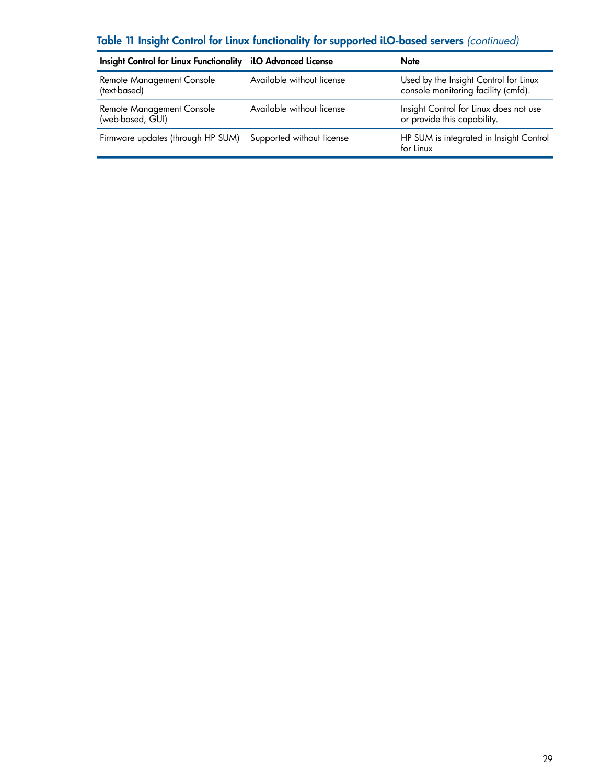### Table 11 Insight Control for Linux functionality for supported iLO-based servers *(continued)*

| Insight Control for Linux Functionality iLO Advanced License |                           | <b>Note</b>                                                                  |
|--------------------------------------------------------------|---------------------------|------------------------------------------------------------------------------|
| Remote Management Console<br>(text-based)                    | Available without license | Used by the Insight Control for Linux<br>console monitoring facility (cmfd). |
| Remote Management Console<br>(web-based, GUI)                | Available without license | Insight Control for Linux does not use<br>or provide this capability.        |
| Firmware updates (through HP SUM)                            | Supported without license | HP SUM is integrated in Insight Control<br>for Linux                         |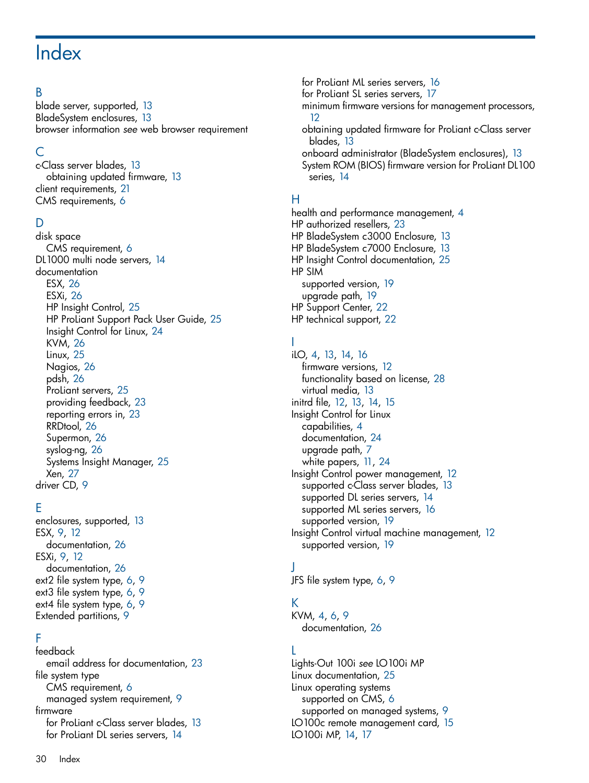# <span id="page-29-0"></span>**Index**

### B

blade server, supported, [13](#page-12-4) BladeSystem enclosures, [13](#page-12-5) browser information *see* web browser requirement

### C

c-Class server blades, [13](#page-12-4) obtaining updated firmware, [13](#page-12-6) client requirements, [21](#page-20-3) CMS requirements, [6](#page-5-2)

### D

disk space CMS requirement, [6](#page-5-3) DL1000 multi node servers, [14](#page-13-1) documentation ESX, [26](#page-25-0) ESXi, [26](#page-25-1) HP Insight Control, [25](#page-24-1) HP ProLiant Support Pack User Guide, [25](#page-24-2) Insight Control for Linux, [24](#page-23-2) KVM, [26](#page-25-2) Linux, [25](#page-24-3) Nagios, [26](#page-25-3) pdsh, [26](#page-25-4) ProLiant servers, [25](#page-24-4) providing feedback, [23](#page-22-4) reporting errors in, [23](#page-22-4) RRDtool, [26](#page-25-5) Supermon, [26](#page-25-6) syslog-ng, [26](#page-25-7) Systems Insight Manager, [25](#page-24-5) Xen, [27](#page-26-2) driver CD, [9](#page-8-2)

### E

enclosures, supported, [13](#page-12-5) ESX, [9](#page-8-2), [12](#page-11-2) documentation, [26](#page-25-0) ESXi, [9,](#page-8-3) [12](#page-11-2) documentation, [26](#page-25-1) ext2 file system type, [6](#page-5-4), [9](#page-8-4) ext3 file system type, [6](#page-5-5), [9](#page-8-4) ext4 file system type, [6](#page-5-6), [9](#page-8-4) Extended partitions, [9](#page-8-5)

### F

feedback email address for documentation, [23](#page-22-4) file system type CMS requirement, [6](#page-5-7) managed system requirement, [9](#page-8-6) firmware for ProLiant c-Class server blades, [13](#page-12-4) for ProLiant DL series servers, [14](#page-13-1)

for ProLiant ML series servers, [16](#page-15-1) for ProLiant SL series servers, [17](#page-16-1) minimum firmware versions for management processors, [12](#page-11-3) obtaining updated firmware for ProLiant c-Class server blades, [13](#page-12-6) onboard administrator (BladeSystem enclosures), [13](#page-12-5) System ROM (BIOS) firmware version for ProLiant DL100 series, [14](#page-13-1)

### H

health and performance management, [4](#page-3-1) HP authorized resellers, [23](#page-22-5) HP BladeSystem c3000 Enclosure, [13](#page-12-5) HP BladeSystem c7000 Enclosure, [13](#page-12-5) HP Insight Control documentation, [25](#page-24-1) HP SIM supported version, [19](#page-18-6) upgrade path, [19](#page-18-6) HP Support Center, [22](#page-21-5) HP technical support, [22](#page-21-6)

### I

iLO, [4,](#page-3-2) [13,](#page-12-4) [14](#page-13-1), [16](#page-15-1) firmware versions, [12](#page-11-3) functionality based on license, [28](#page-27-1) virtual media, [13](#page-12-7) initrd file, [12](#page-11-4), [13](#page-12-8), [14](#page-13-2), [15](#page-14-0) Insight Control for Linux capabilities, [4](#page-3-3) documentation, [24](#page-23-2) upgrade path, [7](#page-6-1) white papers, [11](#page-10-0), [24](#page-23-2) Insight Control power management, [12](#page-11-5) supported c-Class server blades, [13](#page-12-9) supported DL series servers, [14](#page-13-3) supported ML series servers, [16](#page-15-2) supported version, [19](#page-18-7) Insight Control virtual machine management, [12](#page-11-6) supported version, [19](#page-18-8)

### J

JFS file system type, [6,](#page-5-8) [9](#page-8-5)

### K

KVM, [4,](#page-3-4) [6](#page-5-9), [9](#page-8-7) documentation, [26](#page-25-2)

### L

Lights-Out 100i *see* LO100i MP Linux documentation, [25](#page-24-3) Linux operating systems supported on CMS, [6](#page-5-10) supported on managed systems, [9](#page-8-8) LO100c remote management card, [15](#page-14-1) LO100i MP, [14,](#page-13-1) [17](#page-16-1)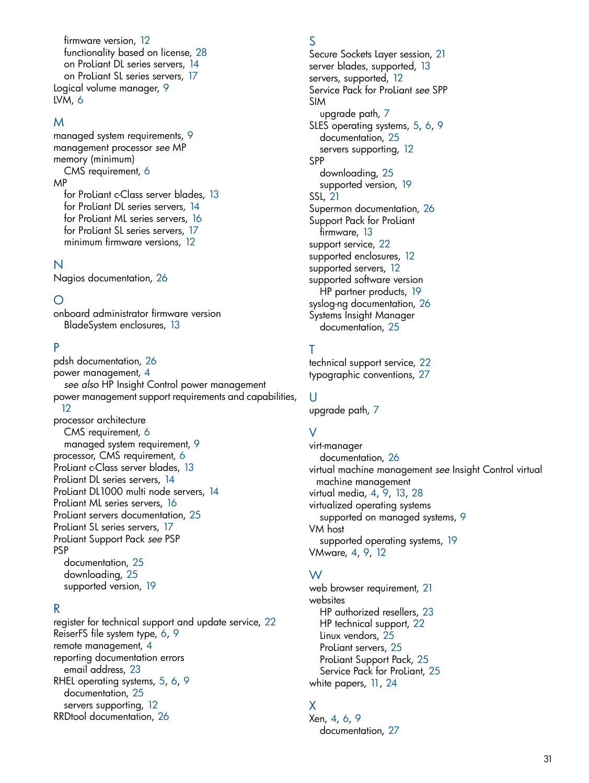firmware version, [12](#page-11-3) functionality based on license, [28](#page-27-2) on ProLiant DL series servers, [14](#page-13-1) on ProLiant SL series servers, [17](#page-16-1) Logical volume manager, [9](#page-8-4) LVM, [6](#page-5-11)

#### M

managed system requirements, [9](#page-8-9) management processor *see* MP memory (minimum) CMS requirement, [6](#page-5-12) MP for ProLiant c-Class server blades, [13](#page-12-4) for ProLiant DL series servers, [14](#page-13-1) for ProLiant ML series servers, [16](#page-15-1) for ProLiant SL series servers, [17](#page-16-1) minimum firmware versions, [12](#page-11-3)

#### N

Nagios documentation, [26](#page-25-3)

### O

onboard administrator firmware version BladeSystem enclosures, [13](#page-12-5)

### P

pdsh documentation, [26](#page-25-4) power management, [4](#page-3-5) *see also* HP Insight Control power management power management support requirements and capabilities, [12](#page-11-5)

processor architecture CMS requirement, [6](#page-5-13) managed system requirement, [9](#page-8-10) processor, CMS requirement, [6](#page-5-14) ProLiant c-Class server blades, [13](#page-12-4) ProLiant DL series servers, [14](#page-13-1) ProLiant DL1000 multi node servers, [14](#page-13-1) ProLiant ML series servers, [16](#page-15-1) ProLiant servers documentation, [25](#page-24-4) ProLiant SL series servers, [17](#page-16-1) ProLiant Support Pack *see* PSP PSP documentation, [25](#page-24-2) downloading, [25](#page-24-2) supported version, [19](#page-18-9)

### R

register for technical support and update service, [22](#page-21-7) ReiserFS file system type, [6,](#page-5-15) [9](#page-8-5) remote management, [4](#page-3-2) reporting documentation errors email address, [23](#page-22-4) RHEL operating systems, [5,](#page-4-0) [6](#page-5-16), [9](#page-8-11) documentation, [25](#page-24-6) servers supporting, [12](#page-11-7) RRDtool documentation, [26](#page-25-5)

#### S

Secure Sockets Layer session, [21](#page-20-3) server blades, supported, [13](#page-12-4) servers, supported, [12](#page-11-7) Service Pack for ProLiant *see* SPP SIM upgrade path, [7](#page-6-1) SLES operating systems, [5](#page-4-0), [6,](#page-5-17) [9](#page-8-12) documentation, [25](#page-24-7) servers supporting, [12](#page-11-7) SPP downloading, [25](#page-24-2) supported version, [19](#page-18-10) SSL, [21](#page-20-3) Supermon documentation, [26](#page-25-6) Support Pack for ProLiant firmware, [13](#page-12-6) support service, [22](#page-21-8) supported enclosures, [12](#page-11-7) supported servers, [12](#page-11-7) supported software version HP partner products, [19](#page-18-1) syslog-ng documentation, [26](#page-25-7) Systems Insight Manager documentation, [25](#page-24-5)

### T

technical support service, [22](#page-21-8) typographic conventions, [27](#page-26-3)

#### U

upgrade path, [7](#page-6-1)

### V

virt-manager documentation, [26](#page-25-8) virtual machine management *see* Insight Control virtual machine management virtual media, [4](#page-3-2), [9,](#page-8-3) [13,](#page-12-7) [28](#page-27-3) virtualized operating systems supported on managed systems, [9](#page-8-13) VM host supported operating systems, [19](#page-18-8) VMware, [4,](#page-3-4) [9](#page-8-2), [12](#page-11-6)

#### W

web browser requirement, [21](#page-20-4) websites HP authorized resellers, [23](#page-22-5) HP technical support, [22](#page-21-6) Linux vendors, [25](#page-24-3) ProLiant servers, [25](#page-24-4) ProLiant Support Pack, [25](#page-24-2) Service Pack for ProLiant, [25](#page-24-2) white papers, [11,](#page-10-0) [24](#page-23-2)

### X

Xen, [4](#page-3-4), [6,](#page-5-9) [9](#page-8-14) documentation, [27](#page-26-2)